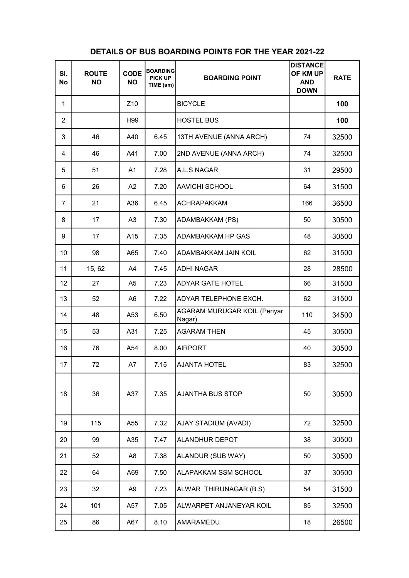| SI.<br><b>No</b> | <b>ROUTE</b><br><b>NO</b> | <b>CODE</b><br><b>NO</b> | <b>BOARDING</b><br><b>PICK UP</b><br>TIME (am) | <b>BOARDING POINT</b>                         | <b>DISTANCE</b><br>OF KM UP<br><b>AND</b><br><b>DOWN</b> | <b>RATE</b> |
|------------------|---------------------------|--------------------------|------------------------------------------------|-----------------------------------------------|----------------------------------------------------------|-------------|
| 1                |                           | Z <sub>10</sub>          |                                                | <b>BICYCLE</b>                                |                                                          | 100         |
| $\overline{2}$   |                           | H99                      |                                                | <b>HOSTEL BUS</b>                             |                                                          | 100         |
| 3                | 46                        | A40                      | 6.45                                           | 13TH AVENUE (ANNA ARCH)                       | 74                                                       | 32500       |
| 4                | 46                        | A41                      | 7.00                                           | 2ND AVENUE (ANNA ARCH)                        | 74                                                       | 32500       |
| 5                | 51                        | A <sub>1</sub>           | 7.28                                           | A.L.S NAGAR                                   | 31                                                       | 29500       |
| 6                | 26                        | A2                       | 7.20                                           | <b>AAVICHI SCHOOL</b>                         | 64                                                       | 31500       |
| $\overline{7}$   | 21                        | A36                      | 6.45                                           | <b>ACHRAPAKKAM</b>                            | 166                                                      | 36500       |
| 8                | 17                        | A <sub>3</sub>           | 7.30                                           | ADAMBAKKAM (PS)                               | 50                                                       | 30500       |
| 9                | 17                        | A15                      | 7.35                                           | ADAMBAKKAM HP GAS                             | 48                                                       | 30500       |
| 10               | 98                        | A65                      | 7.40                                           | ADAMBAKKAM JAIN KOIL                          | 62                                                       | 31500       |
| 11               | 15, 62                    | A4                       | 7.45                                           | <b>ADHI NAGAR</b>                             | 28                                                       | 28500       |
| 12               | 27                        | A <sub>5</sub>           | 7.23                                           | <b>ADYAR GATE HOTEL</b>                       | 66                                                       | 31500       |
| 13               | 52                        | A6                       | 7.22                                           | ADYAR TELEPHONE EXCH.                         | 62                                                       | 31500       |
| 14               | 48                        | A53                      | 6.50                                           | <b>AGARAM MURUGAR KOIL (Periyar</b><br>Nagar) | 110                                                      | 34500       |
| 15               | 53                        | A31                      | 7.25                                           | <b>AGARAM THEN</b>                            | 45                                                       | 30500       |
| 16               | 76                        | A54                      | 8.00                                           | <b>AIRPORT</b>                                | 40                                                       | 30500       |
| 17               | 72                        | A7                       | 7.15                                           | AJANTA HOTEL                                  | 83                                                       | 32500       |
| 18               | 36                        | A37                      | 7.35                                           | <b>AJANTHA BUS STOP</b>                       | 50                                                       | 30500       |
| 19               | 115                       | A55                      | 7.32                                           | AJAY STADIUM (AVADI)                          | 72                                                       | 32500       |
| 20               | 99                        | A35                      | 7.47                                           | <b>ALANDHUR DEPOT</b>                         | 38                                                       | 30500       |
| 21               | 52                        | A <sub>8</sub>           | 7.38                                           | ALANDUR (SUB WAY)                             | 50                                                       | 30500       |
| 22               | 64                        | A69                      | 7.50                                           | ALAPAKKAM SSM SCHOOL                          | 37                                                       | 30500       |
| 23               | 32                        | A <sub>9</sub>           | 7.23                                           | ALWAR THIRUNAGAR (B.S)                        | 54                                                       | 31500       |
| 24               | 101                       | A57                      | 7.05                                           | ALWARPET ANJANEYAR KOIL                       | 85                                                       | 32500       |
| 25               | 86                        | A67                      | 8.10                                           | AMARAMEDU                                     | 18                                                       | 26500       |

## DETAILS OF BUS BOARDING POINTS FOR THE YEAR 2021-22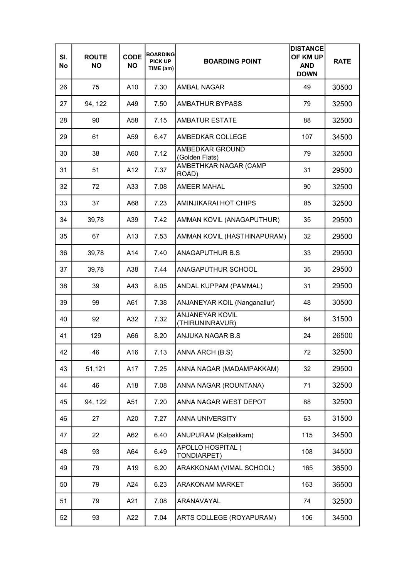| SI.<br>No | <b>ROUTE</b><br><b>NO</b> | <b>CODE</b><br><b>NO</b> | <b>BOARDING</b><br><b>PICK UP</b><br>TIME (am) | <b>BOARDING POINT</b>                     | <b>DISTANCE</b><br>OF KM UP<br><b>AND</b><br><b>DOWN</b> | <b>RATE</b> |
|-----------|---------------------------|--------------------------|------------------------------------------------|-------------------------------------------|----------------------------------------------------------|-------------|
| 26        | 75                        | A10                      | 7.30                                           | <b>AMBAL NAGAR</b>                        | 49                                                       | 30500       |
| 27        | 94, 122                   | A49                      | 7.50                                           | <b>AMBATHUR BYPASS</b>                    | 79                                                       | 32500       |
| 28        | 90                        | A58                      | 7.15                                           | <b>AMBATUR ESTATE</b>                     | 88                                                       | 32500       |
| 29        | 61                        | A59                      | 6.47                                           | AMBEDKAR COLLEGE                          | 107                                                      | 34500       |
| 30        | 38                        | A60                      | 7.12                                           | AMBEDKAR GROUND<br>(Golden Flats)         | 79                                                       | 32500       |
| 31        | 51                        | A12                      | 7.37                                           | AMBETHKAR NAGAR (CAMP<br>ROAD)            | 31                                                       | 29500       |
| 32        | 72                        | A33                      | 7.08                                           | <b>AMEER MAHAL</b>                        | 90                                                       | 32500       |
| 33        | 37                        | A68                      | 7.23                                           | AMINJIKARAI HOT CHIPS                     | 85                                                       | 32500       |
| 34        | 39,78                     | A39                      | 7.42                                           | AMMAN KOVIL (ANAGAPUTHUR)                 | 35                                                       | 29500       |
| 35        | 67                        | A13                      | 7.53                                           | AMMAN KOVIL (HASTHINAPURAM)               | 32                                                       | 29500       |
| 36        | 39,78                     | A14                      | 7.40                                           | <b>ANAGAPUTHUR B.S</b>                    | 33                                                       | 29500       |
| 37        | 39,78                     | A38                      | 7.44                                           | ANAGAPUTHUR SCHOOL                        | 35                                                       | 29500       |
| 38        | 39                        | A43                      | 8.05                                           | ANDAL KUPPAM (PAMMAL)                     | 31                                                       | 29500       |
| 39        | 99                        | A61                      | 7.38                                           | ANJANEYAR KOIL (Nanganallur)              | 48                                                       | 30500       |
| 40        | 92                        | A32                      | 7.32                                           | <b>ANJANEYAR KOVIL</b><br>(THIRUNINRAVUR) | 64                                                       | 31500       |
| 41        | 129                       | A66                      | 8.20                                           | ANJUKA NAGAR B.S                          | 24                                                       | 26500       |
| 42        | 46                        | A16                      | 7.13                                           | ANNA ARCH (B.S)                           | 72                                                       | 32500       |
| 43        | 51,121                    | A17                      | 7.25                                           | ANNA NAGAR (MADAMPAKKAM)                  | 32                                                       | 29500       |
| 44        | 46                        | A18                      | 7.08                                           | ANNA NAGAR (ROUNTANA)                     | 71                                                       | 32500       |
| 45        | 94, 122                   | A51                      | 7.20                                           | ANNA NAGAR WEST DEPOT                     | 88                                                       | 32500       |
| 46        | 27                        | A20                      | 7.27                                           | ANNA UNIVERSITY                           | 63                                                       | 31500       |
| 47        | 22                        | A62                      | 6.40                                           | ANUPURAM (Kalpakkam)                      | 115                                                      | 34500       |
| 48        | 93                        | A64                      | 6.49                                           | APOLLO HOSPITAL (<br>TONDIARPET)          | 108                                                      | 34500       |
| 49        | 79                        | A19                      | 6.20                                           | ARAKKONAM (VIMAL SCHOOL)                  | 165                                                      | 36500       |
| 50        | 79                        | A24                      | 6.23                                           | <b>ARAKONAM MARKET</b>                    | 163                                                      | 36500       |
| 51        | 79                        | A21                      | 7.08                                           | ARANAVAYAL                                | 74                                                       | 32500       |
| 52        | 93                        | A22                      | 7.04                                           | ARTS COLLEGE (ROYAPURAM)                  | 106                                                      | 34500       |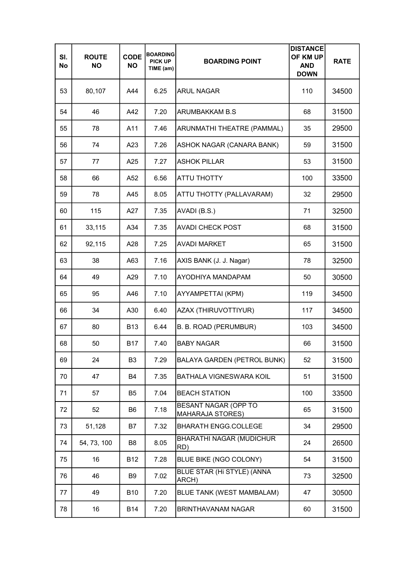| SI.<br>No | <b>ROUTE</b><br><b>NO</b> | <b>CODE</b><br><b>NO</b> | <b>BOARDING</b><br><b>PICK UP</b><br>TIME (am) | <b>BOARDING POINT</b>                           | <b>DISTANCE</b><br>OF KM UP<br><b>AND</b><br><b>DOWN</b> | <b>RATE</b> |
|-----------|---------------------------|--------------------------|------------------------------------------------|-------------------------------------------------|----------------------------------------------------------|-------------|
| 53        | 80,107                    | A44                      | 6.25                                           | <b>ARUL NAGAR</b>                               | 110                                                      | 34500       |
| 54        | 46                        | A42                      | 7.20                                           | ARUMBAKKAM B.S                                  | 68                                                       | 31500       |
| 55        | 78                        | A11                      | 7.46                                           | ARUNMATHI THEATRE (PAMMAL)                      | 35                                                       | 29500       |
| 56        | 74                        | A23                      | 7.26                                           | ASHOK NAGAR (CANARA BANK)                       | 59                                                       | 31500       |
| 57        | 77                        | A25                      | 7.27                                           | <b>ASHOK PILLAR</b>                             | 53                                                       | 31500       |
| 58        | 66                        | A52                      | 6.56                                           | <b>ATTU THOTTY</b>                              | 100                                                      | 33500       |
| 59        | 78                        | A45                      | 8.05                                           | ATTU THOTTY (PALLAVARAM)                        | 32                                                       | 29500       |
| 60        | 115                       | A27                      | 7.35                                           | AVADI (B.S.)                                    | 71                                                       | 32500       |
| 61        | 33,115                    | A34                      | 7.35                                           | <b>AVADI CHECK POST</b>                         | 68                                                       | 31500       |
| 62        | 92,115                    | A28                      | 7.25                                           | <b>AVADI MARKET</b>                             | 65                                                       | 31500       |
| 63        | 38                        | A63                      | 7.16                                           | AXIS BANK (J. J. Nagar)                         | 78                                                       | 32500       |
| 64        | 49                        | A29                      | 7.10                                           | AYODHIYA MANDAPAM                               | 50                                                       | 30500       |
| 65        | 95                        | A46                      | 7.10                                           | AYYAMPETTAI (KPM)                               | 119                                                      | 34500       |
| 66        | 34                        | A30                      | 6.40                                           | AZAX (THIRUVOTTIYUR)                            | 117                                                      | 34500       |
| 67        | 80                        | <b>B13</b>               | 6.44                                           | B. B. ROAD (PERUMBUR)                           | 103                                                      | 34500       |
| 68        | 50                        | <b>B17</b>               | 7.40                                           | <b>BABY NAGAR</b>                               | 66                                                       | 31500       |
| 69        | 24                        | B <sub>3</sub>           | 7.29                                           | <b>BALAYA GARDEN (PETROL BUNK)</b>              | 52                                                       | 31500       |
| 70        | 47                        | B4                       | 7.35                                           | BATHALA VIGNESWARA KOIL                         | 51                                                       | 31500       |
| 71        | 57                        | B <sub>5</sub>           | 7.04                                           | <b>BEACH STATION</b>                            | 100                                                      | 33500       |
| 72        | 52                        | B6                       | 7.18                                           | BESANT NAGAR (OPP TO<br><b>MAHARAJA STORES)</b> | 65                                                       | 31500       |
| 73        | 51,128                    | B7                       | 7.32                                           | <b>BHARATH ENGG.COLLEGE</b>                     | 34                                                       | 29500       |
| 74        | 54, 73, 100               | B8                       | 8.05                                           | <b>BHARATHI NAGAR (MUDICHUR</b><br>RD)          | 24                                                       | 26500       |
| 75        | 16                        | <b>B12</b>               | 7.28                                           | BLUE BIKE (NGO COLONY)                          | 54                                                       | 31500       |
| 76        | 46                        | B <sub>9</sub>           | 7.02                                           | BLUE STAR (Hi STYLE) (ANNA<br>ARCH)             | 73                                                       | 32500       |
| 77        | 49                        | <b>B10</b>               | 7.20                                           | BLUE TANK (WEST MAMBALAM)                       | 47                                                       | 30500       |
| 78        | 16                        | <b>B14</b>               | 7.20                                           | <b>BRINTHAVANAM NAGAR</b>                       | 60                                                       | 31500       |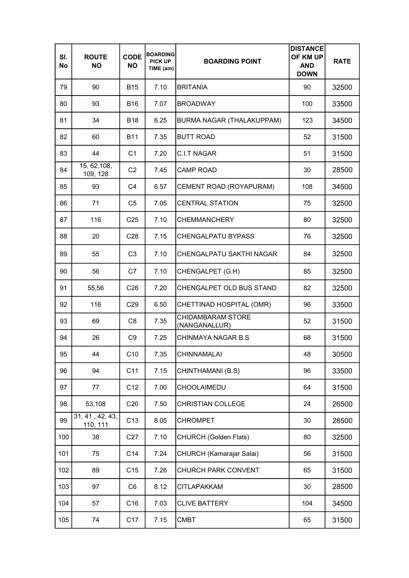| SI.<br>No | <b>ROUTE</b><br><b>NO</b>   | <b>CODE</b><br><b>NO</b> | <b>BOARDING</b><br><b>PICK UP</b><br>TIME (am) | <b>BOARDING POINT</b>                     | <b>DISTANCE</b><br>OF KM UP<br><b>AND</b><br><b>DOWN</b> | <b>RATE</b> |
|-----------|-----------------------------|--------------------------|------------------------------------------------|-------------------------------------------|----------------------------------------------------------|-------------|
| 79        | 90                          | <b>B15</b>               | 7.10                                           | <b>BRITANIA</b>                           | 90                                                       | 32500       |
| 80        | 93                          | <b>B16</b>               | 7.07                                           | <b>BROADWAY</b>                           | 100                                                      | 33500       |
| 81        | 34                          | <b>B18</b>               | 6.25                                           | BURMA NAGAR (THALAKUPPAM)                 | 123                                                      | 34500       |
| 82        | 60                          | <b>B11</b>               | 7.35                                           | <b>BUTT ROAD</b>                          | 52                                                       | 31500       |
| 83        | 44                          | C <sub>1</sub>           | 7.20                                           | <b>C.I.T NAGAR</b>                        | 51                                                       | 31500       |
| 84        | 15, 62, 108,<br>109, 128    | C <sub>2</sub>           | 7.45                                           | <b>CAMP ROAD</b>                          | 30                                                       | 28500       |
| 85        | 93                          | C <sub>4</sub>           | 6.57                                           | CEMENT ROAD (ROYAPURAM)                   | 108                                                      | 34500       |
| 86        | 71                          | C <sub>5</sub>           | 7.05                                           | <b>CENTRAL STATION</b>                    | 75                                                       | 32500       |
| 87        | 116                         | C <sub>25</sub>          | 7.10                                           | <b>CHEMMANCHERY</b>                       | 80                                                       | 32500       |
| 88        | 20                          | C <sub>28</sub>          | 7.15                                           | <b>CHENGALPATU BYPASS</b>                 | 76                                                       | 32500       |
| 89        | 55                          | C <sub>3</sub>           | 7.10                                           | CHENGALPATU SAKTHI NAGAR                  | 84                                                       | 32500       |
| 90        | 56                          | C7                       | 7.10                                           | CHENGALPET (G.H)                          | 85                                                       | 32500       |
| 91        | 55,56                       | C <sub>26</sub>          | 7.20                                           | CHENGALPET OLD BUS STAND                  | 82                                                       | 32500       |
| 92        | 116                         | C <sub>29</sub>          | 6.50                                           | CHETTINAD HOSPITAL (OMR)                  | 96                                                       | 33500       |
| 93        | 69                          | C <sub>8</sub>           | 7.35                                           | <b>CHIDAMBARAM STORE</b><br>(NANGANALLUR) | 52                                                       | 31500       |
| 94        | 26                          | C <sub>9</sub>           | 7.25                                           | CHINMAYA NAGAR B.S                        | 68                                                       | 31500       |
| 95        | 44                          | C10                      | 7.35                                           | <b>CHINNAMALAI</b>                        | 48                                                       | 30500       |
| 96        | 94                          | C11                      | 7.15                                           | CHINTHAMANI (B.S)                         | 96                                                       | 33500       |
| 97        | 77                          | C <sub>12</sub>          | 7.00                                           | CHOOLAIMEDU                               | 64                                                       | 31500       |
| 98        | 53,108                      | C <sub>20</sub>          | 7.50                                           | <b>CHRISTIAN COLLEGE</b>                  | 24                                                       | 26500       |
| 99        | 31, 41, 42, 43,<br>110, 111 | C13                      | 8.05                                           | <b>CHROMPET</b>                           | 30                                                       | 28500       |
| 100       | 38                          | C <sub>27</sub>          | 7.10                                           | CHURCH (Golden Flats)                     | 80                                                       | 32500       |
| 101       | 75                          | C14                      | 7.24                                           | CHURCH (Kamarajar Salai)                  | 56                                                       | 31500       |
| 102       | 89                          | C15                      | 7.26                                           | CHURCH PARK CONVENT                       | 65                                                       | 31500       |
| 103       | 97                          | C <sub>6</sub>           | 8.12                                           | <b>CITLAPAKKAM</b>                        | 30                                                       | 28500       |
| 104       | 57                          | C <sub>16</sub>          | 7.03                                           | <b>CLIVE BATTERY</b>                      | 104                                                      | 34500       |
| 105       | 74                          | C17                      | 7.15                                           | <b>CMBT</b>                               | 65                                                       | 31500       |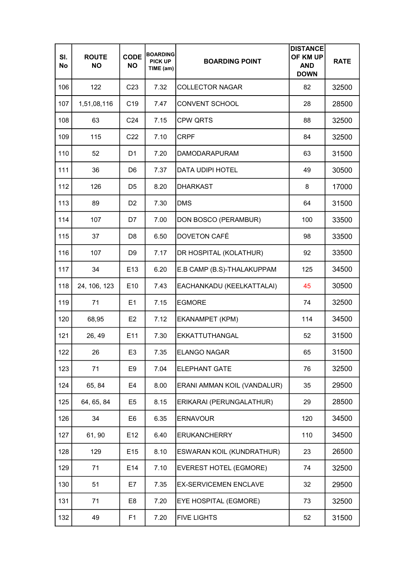| SI.<br>No | <b>ROUTE</b><br><b>NO</b> | <b>CODE</b><br><b>NO</b> | <b>BOARDING</b><br><b>PICK UP</b><br>TIME (am) | <b>BOARDING POINT</b>            | <b>DISTANCE</b><br>OF KM UP<br><b>AND</b><br><b>DOWN</b> | <b>RATE</b> |
|-----------|---------------------------|--------------------------|------------------------------------------------|----------------------------------|----------------------------------------------------------|-------------|
| 106       | 122                       | C <sub>23</sub>          | 7.32                                           | <b>COLLECTOR NAGAR</b>           | 82                                                       | 32500       |
| 107       | 1,51,08,116               | C <sub>19</sub>          | 7.47                                           | <b>CONVENT SCHOOL</b>            | 28                                                       | 28500       |
| 108       | 63                        | C <sub>24</sub>          | 7.15                                           | <b>CPW QRTS</b>                  | 88                                                       | 32500       |
| 109       | 115                       | C <sub>22</sub>          | 7.10                                           | <b>CRPF</b>                      | 84                                                       | 32500       |
| 110       | 52                        | D <sub>1</sub>           | 7.20                                           | <b>DAMODARAPURAM</b>             | 63                                                       | 31500       |
| 111       | 36                        | D <sub>6</sub>           | 7.37                                           | <b>DATA UDIPI HOTEL</b>          | 49                                                       | 30500       |
| 112       | 126                       | D <sub>5</sub>           | 8.20                                           | <b>DHARKAST</b>                  | 8                                                        | 17000       |
| 113       | 89                        | D <sub>2</sub>           | 7.30                                           | <b>DMS</b>                       | 64                                                       | 31500       |
| 114       | 107                       | D7                       | 7.00                                           | DON BOSCO (PERAMBUR)             | 100                                                      | 33500       |
| 115       | 37                        | D <sub>8</sub>           | 6.50                                           | DOVETON CAFÉ                     | 98                                                       | 33500       |
| 116       | 107                       | D <sub>9</sub>           | 7.17                                           | DR HOSPITAL (KOLATHUR)           | 92                                                       | 33500       |
| 117       | 34                        | E13                      | 6.20                                           | E.B CAMP (B.S)-THALAKUPPAM       | 125                                                      | 34500       |
| 118       | 24, 106, 123              | E10                      | 7.43                                           | EACHANKADU (KEELKATTALAI)        | 45                                                       | 30500       |
| 119       | 71                        | E1                       | 7.15                                           | <b>EGMORE</b>                    | 74                                                       | 32500       |
| 120       | 68,95                     | E <sub>2</sub>           | 7.12                                           | EKANAMPET (KPM)                  | 114                                                      | 34500       |
| 121       | 26, 49                    | E11                      | 7.30                                           | EKKATTUTHANGAL                   | 52                                                       | 31500       |
| 122       | 26                        | E3                       | 7.35                                           | <b>ELANGO NAGAR</b>              | 65                                                       | 31500       |
| 123       | 71                        | E9                       | 7.04                                           | <b>ELEPHANT GATE</b>             | 76                                                       | 32500       |
| 124       | 65, 84                    | E4                       | 8.00                                           | ERANI AMMAN KOIL (VANDALUR)      | 35                                                       | 29500       |
| 125       | 64, 65, 84                | E5                       | 8.15                                           | ERIKARAI (PERUNGALATHUR)         | 29                                                       | 28500       |
| 126       | 34                        | E6                       | 6.35                                           | <b>ERNAVOUR</b>                  | 120                                                      | 34500       |
| 127       | 61, 90                    | E <sub>12</sub>          | 6.40                                           | <b>ERUKANCHERRY</b>              | 110                                                      | 34500       |
| 128       | 129                       | E <sub>15</sub>          | 8.10                                           | <b>ESWARAN KOIL (KUNDRATHUR)</b> | 23                                                       | 26500       |
| 129       | 71                        | E14                      | 7.10                                           | <b>EVEREST HOTEL (EGMORE)</b>    | 74                                                       | 32500       |
| 130       | 51                        | E7                       | 7.35                                           | <b>EX-SERVICEMEN ENCLAVE</b>     | 32                                                       | 29500       |
| 131       | 71                        | E8                       | 7.20                                           | EYE HOSPITAL (EGMORE)            | 73                                                       | 32500       |
| 132       | 49                        | F <sub>1</sub>           | 7.20                                           | <b>FIVE LIGHTS</b>               | 52                                                       | 31500       |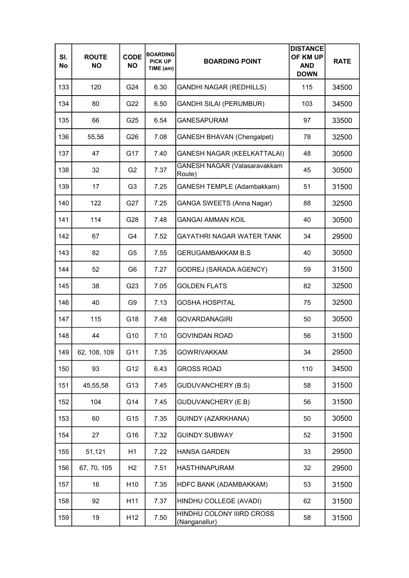| SI.<br>No | <b>ROUTE</b><br><b>NO</b> | <b>CODE</b><br><b>NO</b> | <b>BOARDING</b><br><b>PICK UP</b><br>TIME (am) | <b>BOARDING POINT</b>                      | <b>DISTANCE</b><br>OF KM UP<br><b>AND</b><br><b>DOWN</b> | <b>RATE</b> |
|-----------|---------------------------|--------------------------|------------------------------------------------|--------------------------------------------|----------------------------------------------------------|-------------|
| 133       | 120                       | G24                      | 6.30                                           | <b>GANDHI NAGAR (REDHILLS)</b>             | 115                                                      | 34500       |
| 134       | 80                        | G22                      | 6.50                                           | <b>GANDHI SILAI (PERUMBUR)</b>             | 103                                                      | 34500       |
| 135       | 66                        | G25                      | 6.54                                           | <b>GANESAPURAM</b>                         | 97                                                       | 33500       |
| 136       | 55,56                     | G26                      | 7.08                                           | <b>GANESH BHAVAN (Chengalpet)</b>          | 78                                                       | 32500       |
| 137       | 47                        | G17                      | 7.40                                           | <b>GANESH NAGAR (KEELKATTALAI)</b>         | 48                                                       | 30500       |
| 138       | 32                        | G <sub>2</sub>           | 7.37                                           | GANESH NAGAR (Valasaravakkam<br>Route)     | 45                                                       | 30500       |
| 139       | 17                        | G <sub>3</sub>           | 7.25                                           | <b>GANESH TEMPLE (Adambakkam)</b>          | 51                                                       | 31500       |
| 140       | 122                       | G27                      | 7.25                                           | <b>GANGA SWEETS (Anna Nagar)</b>           | 88                                                       | 32500       |
| 141       | 114                       | G28                      | 7.48                                           | <b>GANGAI AMMAN KOIL</b>                   | 40                                                       | 30500       |
| 142       | 67                        | G4                       | 7.52                                           | GAYATHRI NAGAR WATER TANK                  | 34                                                       | 29500       |
| 143       | 82                        | G <sub>5</sub>           | 7.55                                           | <b>GERUGAMBAKKAM B.S</b>                   | 40                                                       | 30500       |
| 144       | 52                        | G6                       | 7.27                                           | GODREJ (SARADA AGENCY)                     | 59                                                       | 31500       |
| 145       | 38                        | G23                      | 7.05                                           | <b>GOLDEN FLATS</b>                        | 82                                                       | 32500       |
| 146       | 40                        | G9                       | 7.13                                           | <b>GOSHA HOSPITAL</b>                      | 75                                                       | 32500       |
| 147       | 115                       | G18                      | 7.48                                           | <b>GOVARDANAGIRI</b>                       | 50                                                       | 30500       |
| 148       | 44                        | G10                      | 7.10                                           | GOVINDAN ROAD                              | 56                                                       | 31500       |
| 149       | 62, 108, 109              | G11                      | 7.35                                           | <b>GOWRIVAKKAM</b>                         | 34                                                       | 29500       |
| 150       | 93                        | G12                      | 6.43                                           | <b>GROSS ROAD</b>                          | 110                                                      | 34500       |
| 151       | 45,55,58                  | G13                      | 7.45                                           | <b>GUDUVANCHERY (B.S)</b>                  | 58                                                       | 31500       |
| 152       | 104                       | G14                      | 7.45                                           | <b>GUDUVANCHERY (E.B)</b>                  | 56                                                       | 31500       |
| 153       | 60                        | G15                      | 7.35                                           | GUINDY (AZARKHANA)                         | 50                                                       | 30500       |
| 154       | 27                        | G16                      | 7.32                                           | <b>GUINDY SUBWAY</b>                       | 52                                                       | 31500       |
| 155       | 51,121                    | H1                       | 7.22                                           | <b>HANSA GARDEN</b>                        | 33                                                       | 29500       |
| 156       | 67, 70, 105               | H <sub>2</sub>           | 7.51                                           | <b>HASTHINAPURAM</b>                       | 32                                                       | 29500       |
| 157       | 16                        | H <sub>10</sub>          | 7.35                                           | HDFC BANK (ADAMBAKKAM)                     | 53                                                       | 31500       |
| 158       | 92                        | H11                      | 7.37                                           | HINDHU COLLEGE (AVADI)                     | 62                                                       | 31500       |
| 159       | 19                        | H <sub>12</sub>          | 7.50                                           | HINDHU COLONY IIIRD CROSS<br>(Nanganallur) | 58                                                       | 31500       |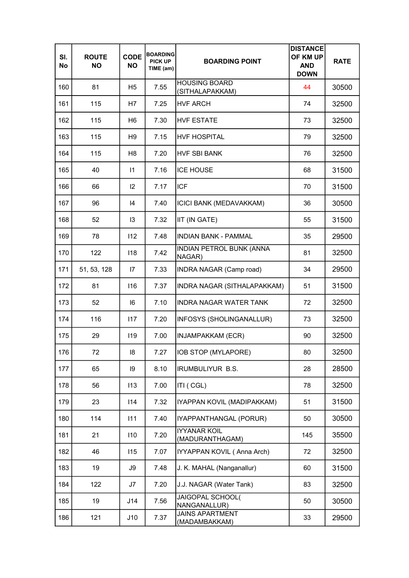| SI.<br>No | <b>ROUTE</b><br><b>NO</b> | <b>CODE</b><br><b>NO</b> | <b>BOARDING</b><br><b>PICK UP</b><br>TIME (am) | <b>BOARDING POINT</b>                   | <b>DISTANCE</b><br>OF KM UP<br><b>AND</b><br><b>DOWN</b> | <b>RATE</b> |
|-----------|---------------------------|--------------------------|------------------------------------------------|-----------------------------------------|----------------------------------------------------------|-------------|
| 160       | 81                        | H5                       | 7.55                                           | <b>HOUSING BOARD</b><br>(SITHALAPAKKAM) | 44                                                       | 30500       |
| 161       | 115                       | H7                       | 7.25                                           | <b>HVF ARCH</b>                         | 74                                                       | 32500       |
| 162       | 115                       | H <sub>6</sub>           | 7.30                                           | <b>HVF ESTATE</b>                       | 73                                                       | 32500       |
| 163       | 115                       | H <sub>9</sub>           | 7.15                                           | <b>HVF HOSPITAL</b>                     | 79                                                       | 32500       |
| 164       | 115                       | H <sub>8</sub>           | 7.20                                           | <b>HVF SBI BANK</b>                     | 76                                                       | 32500       |
| 165       | 40                        | $\vert$ 1                | 7.16                                           | <b>ICE HOUSE</b>                        | 68                                                       | 31500       |
| 166       | 66                        | 12                       | 7.17                                           | <b>ICF</b>                              | 70                                                       | 31500       |
| 167       | 96                        | 14                       | 7.40                                           | <b>ICICI BANK (MEDAVAKKAM)</b>          | 36                                                       | 30500       |
| 168       | 52                        | 13                       | 7.32                                           | IIT (IN GATE)                           | 55                                                       | 31500       |
| 169       | 78                        | 112                      | 7.48                                           | <b>INDIAN BANK - PAMMAL</b>             | 35                                                       | 29500       |
| 170       | 122                       | 118                      | 7.42                                           | INDIAN PETROL BUNK (ANNA<br>NAGAR)      | 81                                                       | 32500       |
| 171       | 51, 53, 128               | $\mathsf{I}7$            | 7.33                                           | <b>INDRA NAGAR (Camp road)</b>          | 34                                                       | 29500       |
| 172       | 81                        | 116                      | 7.37                                           | INDRA NAGAR (SITHALAPAKKAM)             | 51                                                       | 31500       |
| 173       | 52                        | 16                       | 7.10                                           | <b>INDRA NAGAR WATER TANK</b>           | 72                                                       | 32500       |
| 174       | 116                       | 117                      | 7.20                                           | INFOSYS (SHOLINGANALLUR)                | 73                                                       | 32500       |
| 175       | 29                        | 119                      | 7.00                                           | <b>INJAMPAKKAM (ECR)</b>                | 90                                                       | 32500       |
| 176       | 72                        | 18                       | 7.27                                           | IOB STOP (MYLAPORE)                     | 80                                                       | 32500       |
| 177       | 65                        | 9                        | 8.10                                           | <b>IRUMBULIYUR B.S.</b>                 | 28                                                       | 28500       |
| 178       | 56                        | 113                      | 7.00                                           | ITI (CGL)                               | 78                                                       | 32500       |
| 179       | 23                        | 114                      | 7.32                                           | IYAPPAN KOVIL (MADIPAKKAM)              | 51                                                       | 31500       |
| 180       | 114                       | 111                      | 7.40                                           | IYAPPANTHANGAL (PORUR)                  | 50                                                       | 30500       |
| 181       | 21                        | 110                      | 7.20                                           | <b>IYYANAR KOIL</b><br>(MADURANTHAGAM)  | 145                                                      | 35500       |
| 182       | 46                        | 115                      | 7.07                                           | IYYAPPAN KOVIL (Anna Arch)              | 72                                                       | 32500       |
| 183       | 19                        | J9                       | 7.48                                           | J. K. MAHAL (Nanganallur)               | 60                                                       | 31500       |
| 184       | 122                       | J7                       | 7.20                                           | J.J. NAGAR (Water Tank)                 | 83                                                       | 32500       |
| 185       | 19                        | J14                      | 7.56                                           | JAIGOPAL SCHOOL(<br>NANGANALLUR)        | 50                                                       | 30500       |
| 186       | 121                       | J10                      | 7.37                                           | <b>JAINS APARTMENT</b><br>(MADAMBAKKAM) | 33                                                       | 29500       |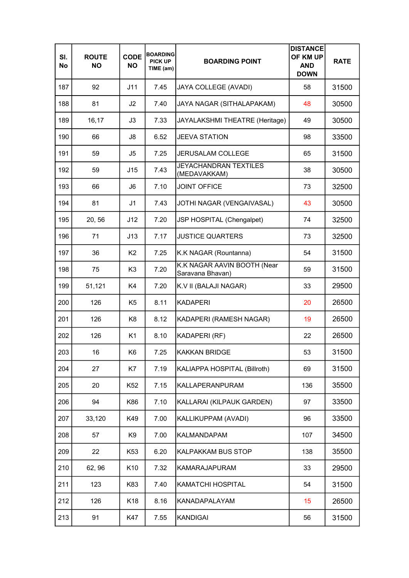| SI.<br>No | <b>ROUTE</b><br><b>NO</b> | <b>CODE</b><br><b>NO</b> | <b>BOARDING</b><br><b>PICK UP</b><br>TIME (am) | <b>BOARDING POINT</b>                           | <b>DISTANCE</b><br>OF KM UP<br><b>AND</b><br><b>DOWN</b> | <b>RATE</b> |
|-----------|---------------------------|--------------------------|------------------------------------------------|-------------------------------------------------|----------------------------------------------------------|-------------|
| 187       | 92                        | J11                      | 7.45                                           | <b>JAYA COLLEGE (AVADI)</b>                     | 58                                                       | 31500       |
| 188       | 81                        | J <sub>2</sub>           | 7.40                                           | JAYA NAGAR (SITHALAPAKAM)                       | 48                                                       | 30500       |
| 189       | 16,17                     | J3                       | 7.33                                           | JAYALAKSHMI THEATRE (Heritage)                  | 49                                                       | 30500       |
| 190       | 66                        | J8                       | 6.52                                           | <b>JEEVA STATION</b>                            | 98                                                       | 33500       |
| 191       | 59                        | J5                       | 7.25                                           | <b>JERUSALAM COLLEGE</b>                        | 65                                                       | 31500       |
| 192       | 59                        | J15                      | 7.43                                           | <b>JEYACHANDRAN TEXTILES</b><br>(MEDAVAKKAM)    | 38                                                       | 30500       |
| 193       | 66                        | J6                       | 7.10                                           | <b>JOINT OFFICE</b>                             | 73                                                       | 32500       |
| 194       | 81                        | J <sub>1</sub>           | 7.43                                           | JOTHI NAGAR (VENGAIVASAL)                       | 43                                                       | 30500       |
| 195       | 20, 56                    | J12                      | 7.20                                           | JSP HOSPITAL (Chengalpet)                       | 74                                                       | 32500       |
| 196       | 71                        | J13                      | 7.17                                           | <b>JUSTICE QUARTERS</b>                         | 73                                                       | 32500       |
| 197       | 36                        | K <sub>2</sub>           | 7.25                                           | K.K NAGAR (Rountanna)                           | 54                                                       | 31500       |
| 198       | 75                        | K <sub>3</sub>           | 7.20                                           | K.K NAGAR AAVIN BOOTH (Near<br>Saravana Bhavan) | 59                                                       | 31500       |
| 199       | 51,121                    | K4                       | 7.20                                           | K.V II (BALAJI NAGAR)                           | 33                                                       | 29500       |
| 200       | 126                       | K <sub>5</sub>           | 8.11                                           | <b>KADAPERI</b>                                 | 20                                                       | 26500       |
| 201       | 126                       | K8                       | 8.12                                           | KADAPERI (RAMESH NAGAR)                         | 19                                                       | 26500       |
| 202       | 126                       | K <sub>1</sub>           | 8.10                                           | KADAPERI (RF)                                   | 22                                                       | 26500       |
| 203       | 16                        | K <sub>6</sub>           | 7.25                                           | <b>KAKKAN BRIDGE</b>                            | 53                                                       | 31500       |
| 204       | 27                        | K7                       | 7.19                                           | KALIAPPA HOSPITAL (Billroth)                    | 69                                                       | 31500       |
| 205       | 20                        | K52                      | 7.15                                           | KALLAPERANPURAM                                 | 136                                                      | 35500       |
| 206       | 94                        | K86                      | 7.10                                           | KALLARAI (KILPAUK GARDEN)                       | 97                                                       | 33500       |
| 207       | 33,120                    | K49                      | 7.00                                           | KALLIKUPPAM (AVADI)                             | 96                                                       | 33500       |
| 208       | 57                        | K9                       | 7.00                                           | KALMANDAPAM                                     | 107                                                      | 34500       |
| 209       | 22                        | K53                      | 6.20                                           | <b>KALPAKKAM BUS STOP</b>                       | 138                                                      | 35500       |
| 210       | 62, 96                    | K <sub>10</sub>          | 7.32                                           | <b>KAMARAJAPURAM</b>                            | 33                                                       | 29500       |
| 211       | 123                       | K83                      | 7.40                                           | <b>KAMATCHI HOSPITAL</b>                        | 54                                                       | 31500       |
| 212       | 126                       | K <sub>18</sub>          | 8.16                                           | KANADAPALAYAM                                   | 15                                                       | 26500       |
| 213       | 91                        | K47                      | 7.55                                           | <b>KANDIGAI</b>                                 | 56                                                       | 31500       |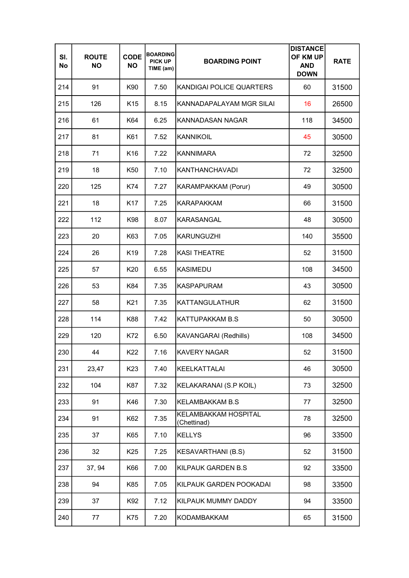| SI.<br>No | <b>ROUTE</b><br><b>NO</b> | <b>CODE</b><br><b>NO</b> | <b>BOARDING</b><br><b>PICK UP</b><br>TIME (am) | <b>BOARDING POINT</b>               | <b>DISTANCE</b><br>OF KM UP<br><b>AND</b><br><b>DOWN</b> | <b>RATE</b> |
|-----------|---------------------------|--------------------------|------------------------------------------------|-------------------------------------|----------------------------------------------------------|-------------|
| 214       | 91                        | K90                      | 7.50                                           | KANDIGAI POLICE QUARTERS            | 60                                                       | 31500       |
| 215       | 126                       | K <sub>15</sub>          | 8.15                                           | KANNADAPALAYAM MGR SILAI            | 16                                                       | 26500       |
| 216       | 61                        | K64                      | 6.25                                           | <b>KANNADASAN NAGAR</b>             | 118                                                      | 34500       |
| 217       | 81                        | K61                      | 7.52                                           | <b>KANNIKOIL</b>                    | 45                                                       | 30500       |
| 218       | 71                        | K <sub>16</sub>          | 7.22                                           | <b>KANNIMARA</b>                    | 72                                                       | 32500       |
| 219       | 18                        | K50                      | 7.10                                           | <b>KANTHANCHAVADI</b>               | 72                                                       | 32500       |
| 220       | 125                       | K74                      | 7.27                                           | <b>KARAMPAKKAM (Porur)</b>          | 49                                                       | 30500       |
| 221       | 18                        | K <sub>17</sub>          | 7.25                                           | <b>KARAPAKKAM</b>                   | 66                                                       | 31500       |
| 222       | 112                       | K98                      | 8.07                                           | KARASANGAL                          | 48                                                       | 30500       |
| 223       | 20                        | K63                      | 7.05                                           | <b>KARUNGUZHI</b>                   | 140                                                      | 35500       |
| 224       | 26                        | K <sub>19</sub>          | 7.28                                           | <b>KASI THEATRE</b>                 | 52                                                       | 31500       |
| 225       | 57                        | K20                      | 6.55                                           | <b>KASIMEDU</b>                     | 108                                                      | 34500       |
| 226       | 53                        | K84                      | 7.35                                           | <b>KASPAPURAM</b>                   | 43                                                       | 30500       |
| 227       | 58                        | K21                      | 7.35                                           | <b>KATTANGULATHUR</b>               | 62                                                       | 31500       |
| 228       | 114                       | K88                      | 7.42                                           | <b>KATTUPAKKAM B.S</b>              | 50                                                       | 30500       |
| 229       | 120                       | K72                      | 6.50                                           | KAVANGARAI (Redhills)               | 108                                                      | 34500       |
| 230       | 44                        | K22                      | 7.16                                           | <b>KAVERY NAGAR</b>                 | 52                                                       | 31500       |
| 231       | 23,47                     | K <sub>23</sub>          | 7.40                                           | <b>KEELKATTALAI</b>                 | 46                                                       | 30500       |
| 232       | 104                       | K87                      | 7.32                                           | KELAKARANAI (S.P KOIL)              | 73                                                       | 32500       |
| 233       | 91                        | K46                      | 7.30                                           | <b>KELAMBAKKAM B.S</b>              | 77                                                       | 32500       |
| 234       | 91                        | K62                      | 7.35                                           | KELAMBAKKAM HOSPITAL<br>(Chettinad) | 78                                                       | 32500       |
| 235       | 37                        | K65                      | 7.10                                           | <b>KELLYS</b>                       | 96                                                       | 33500       |
| 236       | 32                        | K25                      | 7.25                                           | <b>KESAVARTHANI (B.S)</b>           | 52                                                       | 31500       |
| 237       | 37, 94                    | K66                      | 7.00                                           | KILPAUK GARDEN B.S.                 | 92                                                       | 33500       |
| 238       | 94                        | K85                      | 7.05                                           | KILPAUK GARDEN POOKADAI             | 98                                                       | 33500       |
| 239       | 37                        | K92                      | 7.12                                           | KILPAUK MUMMY DADDY                 | 94                                                       | 33500       |
| 240       | 77                        | K75                      | 7.20                                           | <b>KODAMBAKKAM</b>                  | 65                                                       | 31500       |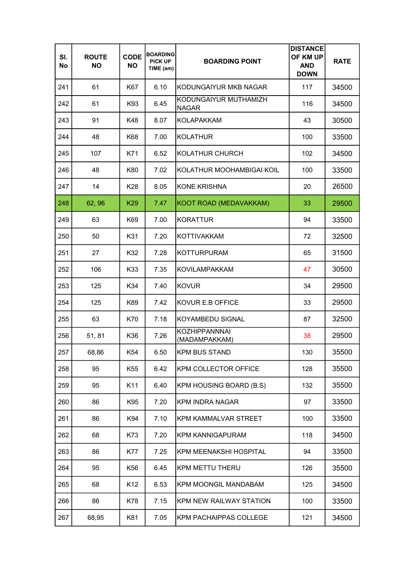| SI.<br>No | <b>ROUTE</b><br><b>NO</b> | <b>CODE</b><br><b>NO</b> | <b>BOARDING</b><br><b>PICK UP</b><br>TIME (am) | <b>BOARDING POINT</b>                 | <b>DISTANCE</b><br>OF KM UP<br><b>AND</b><br><b>DOWN</b> | <b>RATE</b> |
|-----------|---------------------------|--------------------------|------------------------------------------------|---------------------------------------|----------------------------------------------------------|-------------|
| 241       | 61                        | K67                      | 6.10                                           | KODUNGAIYUR MKB NAGAR                 | 117                                                      | 34500       |
| 242       | 61                        | K93                      | 6.45                                           | KODUNGAIYUR MUTHAMIZH<br><b>NAGAR</b> | 116                                                      | 34500       |
| 243       | 91                        | K48                      | 8.07                                           | <b>KOLAPAKKAM</b>                     | 43                                                       | 30500       |
| 244       | 48                        | K68                      | 7.00                                           | <b>KOLATHUR</b>                       | 100                                                      | 33500       |
| 245       | 107                       | K71                      | 6.52                                           | KOLATHUR CHURCH                       | 102                                                      | 34500       |
| 246       | 48                        | K80                      | 7.02                                           | KOLATHUR MOOHAMBIGAI KOIL             | 100                                                      | 33500       |
| 247       | 14                        | K28                      | 8.05                                           | <b>KONE KRISHNA</b>                   | 20                                                       | 26500       |
| 248       | 62, 96                    | K <sub>29</sub>          | 7.47                                           | KOOT ROAD (MEDAVAKKAM)                | 33                                                       | 29500       |
| 249       | 63                        | K69                      | 7.00                                           | <b>KORATTUR</b>                       | 94                                                       | 33500       |
| 250       | 50                        | K31                      | 7.20                                           | <b>KOTTIVAKKAM</b>                    | 72                                                       | 32500       |
| 251       | 27                        | K32                      | 7.28                                           | <b>KOTTURPURAM</b>                    | 65                                                       | 31500       |
| 252       | 106                       | K33                      | 7.35                                           | <b>KOVILAMPAKKAM</b>                  | 47                                                       | 30500       |
| 253       | 125                       | K34                      | 7.40                                           | <b>KOVUR</b>                          | 34                                                       | 29500       |
| 254       | 125                       | K89                      | 7.42                                           | KOVUR E.B OFFICE                      | 33                                                       | 29500       |
| 255       | 63                        | K70                      | 7.18                                           | KOYAMBEDU SIGNAL                      | 87                                                       | 32500       |
| 256       | 51, 81                    | K36                      | 7.26                                           | <b>KOZHIPPANNNAI</b><br>(MADAMPAKKAM) | 38                                                       | 29500       |
| 257       | 68,86                     | K54                      | 6.50                                           | <b>KPM BUS STAND</b>                  | 130                                                      | 35500       |
| 258       | 95                        | K <sub>55</sub>          | 6.42                                           | <b>KPM COLLECTOR OFFICE</b>           | 128                                                      | 35500       |
| 259       | 95                        | K11                      | 6.40                                           | KPM HOUSING BOARD (B.S)               | 132                                                      | 35500       |
| 260       | 86                        | K95                      | 7.20                                           | <b>KPM INDRA NAGAR</b>                | 97                                                       | 33500       |
| 261       | 86                        | K94                      | 7.10                                           | <b>KPM KAMMALVAR STREET</b>           | 100                                                      | 33500       |
| 262       | 68                        | K73                      | 7.20                                           | <b>KPM KANNIGAPURAM</b>               | 118                                                      | 34500       |
| 263       | 86                        | K77                      | 7.25                                           | <b>KPM MEENAKSHI HOSPITAL</b>         | 94                                                       | 33500       |
| 264       | 95                        | K56                      | 6.45                                           | <b>KPM METTU THERU</b>                | 126                                                      | 35500       |
| 265       | 68                        | K <sub>12</sub>          | 6.53                                           | <b>KPM MOONGIL MANDABAM</b>           | 125                                                      | 34500       |
| 266       | 86                        | K78                      | 7.15                                           | <b>KPM NEW RAILWAY STATION</b>        | 100                                                      | 33500       |
| 267       | 68,95                     | K81                      | 7.05                                           | KPM PACHAIPPAS COLLEGE                | 121                                                      | 34500       |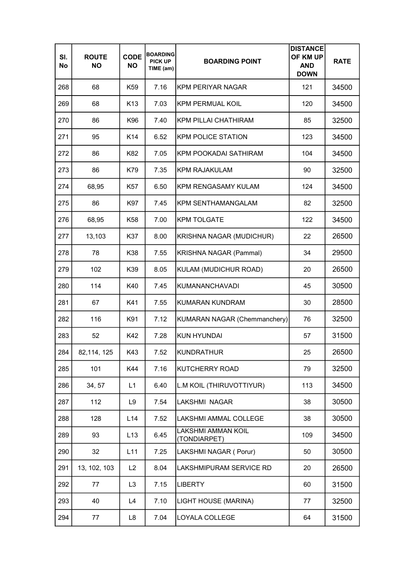| SI.<br>No | <b>ROUTE</b><br><b>NO</b> | <b>CODE</b><br><b>NO</b> | <b>BOARDING</b><br><b>PICK UP</b><br>TIME (am) | <b>BOARDING POINT</b>                     | <b>DISTANCE</b><br>OF KM UP<br><b>AND</b><br><b>DOWN</b> | <b>RATE</b> |
|-----------|---------------------------|--------------------------|------------------------------------------------|-------------------------------------------|----------------------------------------------------------|-------------|
| 268       | 68                        | K59                      | 7.16                                           | KPM PERIYAR NAGAR                         | 121                                                      | 34500       |
| 269       | 68                        | K <sub>13</sub>          | 7.03                                           | <b>KPM PERMUAL KOIL</b>                   | 120                                                      | 34500       |
| 270       | 86                        | K96                      | 7.40                                           | <b>KPM PILLAI CHATHIRAM</b>               | 85                                                       | 32500       |
| 271       | 95                        | K <sub>14</sub>          | 6.52                                           | <b>KPM POLICE STATION</b>                 | 123                                                      | 34500       |
| 272       | 86                        | K82                      | 7.05                                           | KPM POOKADAI SATHIRAM                     | 104                                                      | 34500       |
| 273       | 86                        | K79                      | 7.35                                           | <b>KPM RAJAKULAM</b>                      | 90                                                       | 32500       |
| 274       | 68,95                     | K57                      | 6.50                                           | KPM RENGASAMY KULAM                       | 124                                                      | 34500       |
| 275       | 86                        | K97                      | 7.45                                           | <b>KPM SENTHAMANGALAM</b>                 | 82                                                       | 32500       |
| 276       | 68,95                     | K58                      | 7.00                                           | <b>KPM TOLGATE</b>                        | 122                                                      | 34500       |
| 277       | 13,103                    | K37                      | 8.00                                           | KRISHNA NAGAR (MUDICHUR)                  | 22                                                       | 26500       |
| 278       | 78                        | K38                      | 7.55                                           | KRISHNA NAGAR (Pammal)                    | 34                                                       | 29500       |
| 279       | 102                       | K39                      | 8.05                                           | KULAM (MUDICHUR ROAD)                     | 20                                                       | 26500       |
| 280       | 114                       | K40                      | 7.45                                           | KUMANANCHAVADI                            | 45                                                       | 30500       |
| 281       | 67                        | K41                      | 7.55                                           | KUMARAN KUNDRAM                           | 30                                                       | 28500       |
| 282       | 116                       | K91                      | 7.12                                           | KUMARAN NAGAR (Chemmanchery)              | 76                                                       | 32500       |
| 283       | 52                        | K42                      | 7.28                                           | <b>KUN HYUNDAI</b>                        | 57                                                       | 31500       |
| 284       | 82,114, 125               | K43                      | 7.52                                           | <b>KUNDRATHUR</b>                         | 25                                                       | 26500       |
| 285       | 101                       | K44                      | 7.16                                           | <b>KUTCHERRY ROAD</b>                     | 79                                                       | 32500       |
| 286       | 34, 57                    | L1                       | 6.40                                           | L.M KOIL (THIRUVOTTIYUR)                  | 113                                                      | 34500       |
| 287       | 112                       | L9                       | 7.54                                           | LAKSHMI NAGAR                             | 38                                                       | 30500       |
| 288       | 128                       | L14                      | 7.52                                           | LAKSHMI AMMAL COLLEGE                     | 38                                                       | 30500       |
| 289       | 93                        | L13                      | 6.45                                           | <b>LAKSHMI AMMAN KOIL</b><br>(TONDIARPET) | 109                                                      | 34500       |
| 290       | 32                        | L11                      | 7.25                                           | LAKSHMI NAGAR (Porur)                     | 50                                                       | 30500       |
| 291       | 13, 102, 103              | L2                       | 8.04                                           | LAKSHMIPURAM SERVICE RD                   | 20                                                       | 26500       |
| 292       | 77                        | L <sub>3</sub>           | 7.15                                           | <b>LIBERTY</b>                            | 60                                                       | 31500       |
| 293       | 40                        | L4                       | 7.10                                           | LIGHT HOUSE (MARINA)                      | 77                                                       | 32500       |
| 294       | 77                        | L8                       | 7.04                                           | LOYALA COLLEGE                            | 64                                                       | 31500       |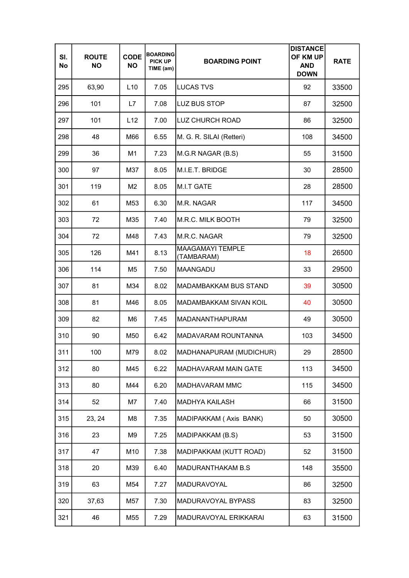| SI.<br>No | <b>ROUTE</b><br><b>NO</b> | <b>CODE</b><br><b>NO</b> | <b>BOARDING</b><br><b>PICK UP</b><br>TIME (am) | <b>BOARDING POINT</b>                 | <b>DISTANCE</b><br>OF KM UP<br><b>AND</b><br><b>DOWN</b> | <b>RATE</b> |
|-----------|---------------------------|--------------------------|------------------------------------------------|---------------------------------------|----------------------------------------------------------|-------------|
| 295       | 63,90                     | L10                      | 7.05                                           | <b>LUCAS TVS</b>                      | 92                                                       | 33500       |
| 296       | 101                       | L7                       | 7.08                                           | <b>LUZ BUS STOP</b>                   | 87                                                       | 32500       |
| 297       | 101                       | L12                      | 7.00                                           | <b>LUZ CHURCH ROAD</b>                | 86                                                       | 32500       |
| 298       | 48                        | M66                      | 6.55                                           | M. G. R. SILAI (Retteri)              | 108                                                      | 34500       |
| 299       | 36                        | M1                       | 7.23                                           | M.G.R NAGAR (B.S)                     | 55                                                       | 31500       |
| 300       | 97                        | M37                      | 8.05                                           | M.I.E.T. BRIDGE                       | 30                                                       | 28500       |
| 301       | 119                       | M <sub>2</sub>           | 8.05                                           | M.I.T GATE                            | 28                                                       | 28500       |
| 302       | 61                        | M53                      | 6.30                                           | M.R. NAGAR                            | 117                                                      | 34500       |
| 303       | 72                        | M35                      | 7.40                                           | M.R.C. MILK BOOTH                     | 79                                                       | 32500       |
| 304       | 72                        | M48                      | 7.43                                           | M.R.C. NAGAR                          | 79                                                       | 32500       |
| 305       | 126                       | M41                      | 8.13                                           | <b>MAAGAMAYI TEMPLE</b><br>(TAMBARAM) | 18                                                       | 26500       |
| 306       | 114                       | M5                       | 7.50                                           | <b>MAANGADU</b>                       | 33                                                       | 29500       |
| 307       | 81                        | M34                      | 8.02                                           | <b>MADAMBAKKAM BUS STAND</b>          | 39                                                       | 30500       |
| 308       | 81                        | M46                      | 8.05                                           | <b>MADAMBAKKAM SIVAN KOIL</b>         | 40                                                       | 30500       |
| 309       | 82                        | M <sub>6</sub>           | 7.45                                           | MADANANTHAPURAM                       | 49                                                       | 30500       |
| 310       | 90                        | M50                      | 6.42                                           | <b>MADAVARAM ROUNTANNA</b>            | 103                                                      | 34500       |
| 311       | 100                       | M79                      | 8.02                                           | MADHANAPURAM (MUDICHUR)               | 29                                                       | 28500       |
| 312       | 80                        | M45                      | 6.22                                           | MADHAVARAM MAIN GATE                  | 113                                                      | 34500       |
| 313       | 80                        | M44                      | 6.20                                           | MADHAVARAM MMC                        | 115                                                      | 34500       |
| 314       | 52                        | M7                       | 7.40                                           | <b>MADHYA KAILASH</b>                 | 66                                                       | 31500       |
| 315       | 23, 24                    | M8                       | 7.35                                           | MADIPAKKAM (Axis BANK)                | 50                                                       | 30500       |
| 316       | 23                        | M9                       | 7.25                                           | MADIPAKKAM (B.S)                      | 53                                                       | 31500       |
| 317       | 47                        | M10                      | 7.38                                           | MADIPAKKAM (KUTT ROAD)                | 52                                                       | 31500       |
| 318       | 20                        | M39                      | 6.40                                           | MADURANTHAKAM B.S                     | 148                                                      | 35500       |
| 319       | 63                        | M54                      | 7.27                                           | <b>MADURAVOYAL</b>                    | 86                                                       | 32500       |
| 320       | 37,63                     | M57                      | 7.30                                           | MADURAVOYAL BYPASS                    | 83                                                       | 32500       |
| 321       | 46                        | M55                      | 7.29                                           | MADURAVOYAL ERIKKARAI                 | 63                                                       | 31500       |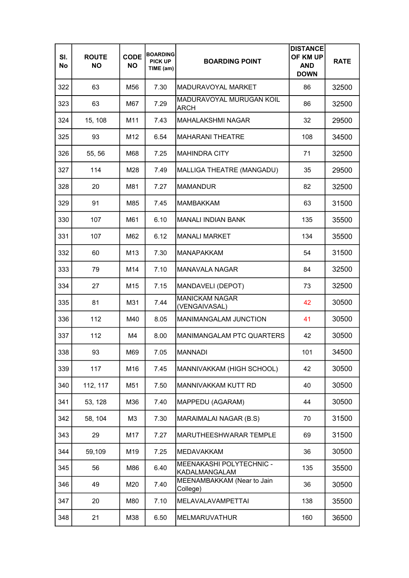| SI.<br>No | <b>ROUTE</b><br><b>NO</b> | <b>CODE</b><br><b>NO</b> | <b>BOARDING</b><br><b>PICK UP</b><br>TIME (am) | <b>BOARDING POINT</b>                     | <b>DISTANCE</b><br>OF KM UP<br><b>AND</b><br><b>DOWN</b> | <b>RATE</b> |
|-----------|---------------------------|--------------------------|------------------------------------------------|-------------------------------------------|----------------------------------------------------------|-------------|
| 322       | 63                        | M56                      | 7.30                                           | MADURAVOYAL MARKET                        | 86                                                       | 32500       |
| 323       | 63                        | M67                      | 7.29                                           | MADURAVOYAL MURUGAN KOIL<br><b>ARCH</b>   | 86                                                       | 32500       |
| 324       | 15, 108                   | M11                      | 7.43                                           | <b>MAHALAKSHMI NAGAR</b>                  | 32                                                       | 29500       |
| 325       | 93                        | M12                      | 6.54                                           | <b>MAHARANI THEATRE</b>                   | 108                                                      | 34500       |
| 326       | 55, 56                    | M68                      | 7.25                                           | <b>MAHINDRA CITY</b>                      | 71                                                       | 32500       |
| 327       | 114                       | M28                      | 7.49                                           | MALLIGA THEATRE (MANGADU)                 | 35                                                       | 29500       |
| 328       | 20                        | M81                      | 7.27                                           | <b>MAMANDUR</b>                           | 82                                                       | 32500       |
| 329       | 91                        | M85                      | 7.45                                           | <b>MAMBAKKAM</b>                          | 63                                                       | 31500       |
| 330       | 107                       | M61                      | 6.10                                           | <b>MANALI INDIAN BANK</b>                 | 135                                                      | 35500       |
| 331       | 107                       | M62                      | 6.12                                           | <b>MANALI MARKET</b>                      | 134                                                      | 35500       |
| 332       | 60                        | M <sub>13</sub>          | 7.30                                           | <b>MANAPAKKAM</b>                         | 54                                                       | 31500       |
| 333       | 79                        | M14                      | 7.10                                           | <b>MANAVALA NAGAR</b>                     | 84                                                       | 32500       |
| 334       | 27                        | M <sub>15</sub>          | 7.15                                           | MANDAVELI (DEPOT)                         | 73                                                       | 32500       |
| 335       | 81                        | M31                      | 7.44                                           | <b>MANICKAM NAGAR</b><br>(VENGAIVASAL)    | 42                                                       | 30500       |
| 336       | 112                       | M40                      | 8.05                                           | <b>MANIMANGALAM JUNCTION</b>              | 41                                                       | 30500       |
| 337       | 112                       | M4                       | 8.00                                           | <b>MANIMANGALAM PTC QUARTERS</b>          | 42                                                       | 30500       |
| 338       | 93                        | M69                      | 7.05                                           | <b>MANNADI</b>                            | 101                                                      | 34500       |
| 339       | 117                       | M16                      | 7.45                                           | MANNIVAKKAM (HIGH SCHOOL)                 | 42                                                       | 30500       |
| 340       | 112, 117                  | M51                      | 7.50                                           | MANNIVAKKAM KUTT RD                       | 40                                                       | 30500       |
| 341       | 53, 128                   | M36                      | 7.40                                           | MAPPEDU (AGARAM)                          | 44                                                       | 30500       |
| 342       | 58, 104                   | ΜЗ                       | 7.30                                           | MARAIMALAI NAGAR (B.S)                    | 70                                                       | 31500       |
| 343       | 29                        | M17                      | 7.27                                           | MARUTHEESHWARAR TEMPLE                    | 69                                                       | 31500       |
| 344       | 59,109                    | M19                      | 7.25                                           | <b>MEDAVAKKAM</b>                         | 36                                                       | 30500       |
| 345       | 56                        | M86                      | 6.40                                           | MEENAKASHI POLYTECHNIC -<br>KADALMANGALAM | 135                                                      | 35500       |
| 346       | 49                        | M20                      | 7.40                                           | MEENAMBAKKAM (Near to Jain<br>College)    | 36                                                       | 30500       |
| 347       | 20                        | M80                      | 7.10                                           | <b>MELAVALAVAMPETTAI</b>                  | 138                                                      | 35500       |
| 348       | 21                        | M38                      | 6.50                                           | <b>MELMARUVATHUR</b>                      | 160                                                      | 36500       |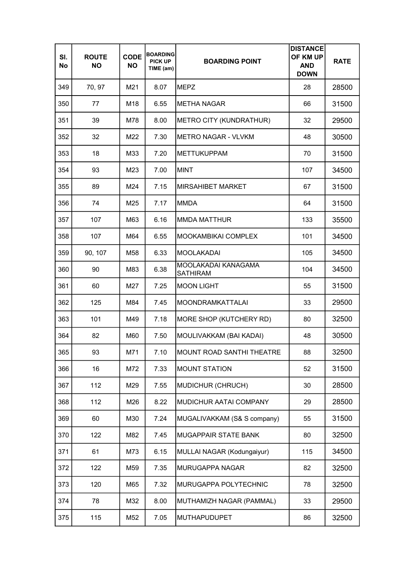| SI.<br>No | <b>ROUTE</b><br><b>NO</b> | <b>CODE</b><br><b>NO</b> | <b>BOARDING</b><br><b>PICK UP</b><br>TIME (am) | <b>BOARDING POINT</b>                  | <b>DISTANCE</b><br>OF KM UP<br><b>AND</b><br><b>DOWN</b> | <b>RATE</b> |
|-----------|---------------------------|--------------------------|------------------------------------------------|----------------------------------------|----------------------------------------------------------|-------------|
| 349       | 70, 97                    | M21                      | 8.07                                           | <b>MEPZ</b>                            | 28                                                       | 28500       |
| 350       | 77                        | M18                      | 6.55                                           | <b>METHA NAGAR</b>                     | 66                                                       | 31500       |
| 351       | 39                        | M78                      | 8.00                                           | METRO CITY (KUNDRATHUR)                | 32                                                       | 29500       |
| 352       | 32                        | M22                      | 7.30                                           | <b>METRO NAGAR - VLVKM</b>             | 48                                                       | 30500       |
| 353       | 18                        | M33                      | 7.20                                           | <b>METTUKUPPAM</b>                     | 70                                                       | 31500       |
| 354       | 93                        | M23                      | 7.00                                           | <b>MINT</b>                            | 107                                                      | 34500       |
| 355       | 89                        | M24                      | 7.15                                           | <b>MIRSAHIBET MARKET</b>               | 67                                                       | 31500       |
| 356       | 74                        | M25                      | 7.17                                           | <b>MMDA</b>                            | 64                                                       | 31500       |
| 357       | 107                       | M63                      | 6.16                                           | <b>MMDA MATTHUR</b>                    | 133                                                      | 35500       |
| 358       | 107                       | M64                      | 6.55                                           | MOOKAMBIKAI COMPLEX                    | 101                                                      | 34500       |
| 359       | 90, 107                   | M58                      | 6.33                                           | <b>MOOLAKADAI</b>                      | 105                                                      | 34500       |
| 360       | 90                        | M83                      | 6.38                                           | MOOLAKADAI KANAGAMA<br><b>SATHIRAM</b> | 104                                                      | 34500       |
| 361       | 60                        | M27                      | 7.25                                           | <b>MOON LIGHT</b>                      | 55                                                       | 31500       |
| 362       | 125                       | M84                      | 7.45                                           | <b>MOONDRAMKATTALAI</b>                | 33                                                       | 29500       |
| 363       | 101                       | M49                      | 7.18                                           | MORE SHOP (KUTCHERY RD)                | 80                                                       | 32500       |
| 364       | 82                        | M60                      | 7.50                                           | MOULIVAKKAM (BAI KADAI)                | 48                                                       | 30500       |
| 365       | 93                        | M71                      | 7.10                                           | MOUNT ROAD SANTHI THEATRE              | 88                                                       | 32500       |
| 366       | 16                        | M72                      | 7.33                                           | <b>MOUNT STATION</b>                   | 52                                                       | 31500       |
| 367       | 112                       | M29                      | 7.55                                           | MUDICHUR (CHRUCH)                      | 30                                                       | 28500       |
| 368       | 112                       | M26                      | 8.22                                           | MUDICHUR AATAI COMPANY                 | 29                                                       | 28500       |
| 369       | 60                        | M30                      | 7.24                                           | MUGALIVAKKAM (S& S company)            | 55                                                       | 31500       |
| 370       | 122                       | M82                      | 7.45                                           | MUGAPPAIR STATE BANK                   | 80                                                       | 32500       |
| 371       | 61                        | M73                      | 6.15                                           | MULLAI NAGAR (Kodungaiyur)             | 115                                                      | 34500       |
| 372       | 122                       | M59                      | 7.35                                           | MURUGAPPA NAGAR                        | 82                                                       | 32500       |
| 373       | 120                       | M65                      | 7.32                                           | MURUGAPPA POLYTECHNIC                  | 78                                                       | 32500       |
| 374       | 78                        | M32                      | 8.00                                           | MUTHAMIZH NAGAR (PAMMAL)               | 33                                                       | 29500       |
| 375       | 115                       | M52                      | 7.05                                           | <b>MUTHAPUDUPET</b>                    | 86                                                       | 32500       |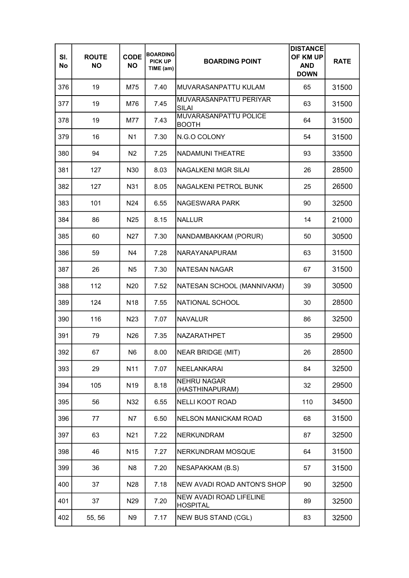| SI.<br>No | <b>ROUTE</b><br><b>NO</b> | <b>CODE</b><br><b>NO</b> | <b>BOARDING</b><br><b>PICK UP</b><br>TIME (am) | <b>BOARDING POINT</b>                      | <b>DISTANCE</b><br>OF KM UP<br><b>AND</b><br><b>DOWN</b> | <b>RATE</b> |
|-----------|---------------------------|--------------------------|------------------------------------------------|--------------------------------------------|----------------------------------------------------------|-------------|
| 376       | 19                        | M75                      | 7.40                                           | MUVARASANPATTU KULAM                       | 65                                                       | 31500       |
| 377       | 19                        | M76                      | 7.45                                           | MUVARASANPATTU PERIYAR<br>SILAI            | 63                                                       | 31500       |
| 378       | 19                        | M77                      | 7.43                                           | MUVARASANPATTU POLICE<br><b>BOOTH</b>      | 64                                                       | 31500       |
| 379       | 16                        | N <sub>1</sub>           | 7.30                                           | N.G.O COLONY                               | 54                                                       | 31500       |
| 380       | 94                        | N <sub>2</sub>           | 7.25                                           | NADAMUNI THEATRE                           | 93                                                       | 33500       |
| 381       | 127                       | N30                      | 8.03                                           | NAGALKENI MGR SILAI                        | 26                                                       | 28500       |
| 382       | 127                       | N31                      | 8.05                                           | NAGALKENI PETROL BUNK                      | 25                                                       | 26500       |
| 383       | 101                       | N <sub>24</sub>          | 6.55                                           | NAGESWARA PARK                             | 90                                                       | 32500       |
| 384       | 86                        | N <sub>25</sub>          | 8.15                                           | <b>NALLUR</b>                              | 14                                                       | 21000       |
| 385       | 60                        | N <sub>2</sub> 7         | 7.30                                           | NANDAMBAKKAM (PORUR)                       | 50                                                       | 30500       |
| 386       | 59                        | N <sub>4</sub>           | 7.28                                           | NARAYANAPURAM                              | 63                                                       | 31500       |
| 387       | 26                        | N <sub>5</sub>           | 7.30                                           | <b>NATESAN NAGAR</b>                       | 67                                                       | 31500       |
| 388       | 112                       | N <sub>20</sub>          | 7.52                                           | NATESAN SCHOOL (MANNIVAKM)                 | 39                                                       | 30500       |
| 389       | 124                       | N <sub>18</sub>          | 7.55                                           | NATIONAL SCHOOL                            | 30                                                       | 28500       |
| 390       | 116                       | N <sub>23</sub>          | 7.07                                           | <b>NAVALUR</b>                             | 86                                                       | 32500       |
| 391       | 79                        | N <sub>26</sub>          | 7.35                                           | NAZARATHPET                                | 35                                                       | 29500       |
| 392       | 67                        | N <sub>6</sub>           | 8.00                                           | <b>NEAR BRIDGE (MIT)</b>                   | 26                                                       | 28500       |
| 393       | 29                        | N <sub>11</sub>          | 7.07                                           | NEELANKARAI                                | 84                                                       | 32500       |
| 394       | 105                       | N <sub>19</sub>          | 8.18                                           | <b>NEHRU NAGAR</b><br>(HASTHINAPURAM)      | 32                                                       | 29500       |
| 395       | 56                        | N32                      | 6.55                                           | <b>NELLI KOOT ROAD</b>                     | 110                                                      | 34500       |
| 396       | 77                        | N7                       | 6.50                                           | <b>NELSON MANICKAM ROAD</b>                | 68                                                       | 31500       |
| 397       | 63                        | N21                      | 7.22                                           | <b>NERKUNDRAM</b>                          | 87                                                       | 32500       |
| 398       | 46                        | N <sub>15</sub>          | 7.27                                           | <b>NERKUNDRAM MOSQUE</b>                   | 64                                                       | 31500       |
| 399       | 36                        | N <sub>8</sub>           | 7.20                                           | <b>NESAPAKKAM (B.S)</b>                    | 57                                                       | 31500       |
| 400       | 37                        | N28                      | 7.18                                           | NEW AVADI ROAD ANTON'S SHOP                | 90                                                       | 32500       |
| 401       | 37                        | N <sub>29</sub>          | 7.20                                           | NEW AVADI ROAD LIFELINE<br><b>HOSPITAL</b> | 89                                                       | 32500       |
| 402       | 55, 56                    | N <sub>9</sub>           | 7.17                                           | <b>NEW BUS STAND (CGL)</b>                 | 83                                                       | 32500       |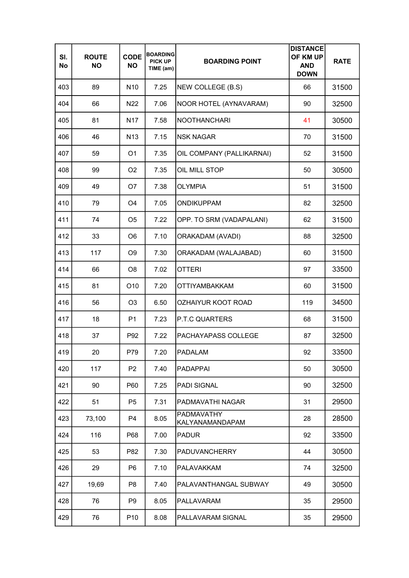| SI.<br><b>No</b> | <b>ROUTE</b><br><b>NO</b> | <b>CODE</b><br><b>NO</b> | <b>BOARDING</b><br><b>PICK UP</b><br>TIME (am) | <b>BOARDING POINT</b>                | <b>DISTANCE</b><br>OF KM UP<br><b>AND</b><br><b>DOWN</b> | <b>RATE</b> |
|------------------|---------------------------|--------------------------|------------------------------------------------|--------------------------------------|----------------------------------------------------------|-------------|
| 403              | 89                        | N <sub>10</sub>          | 7.25                                           | NEW COLLEGE (B.S)                    | 66                                                       | 31500       |
| 404              | 66                        | N <sub>22</sub>          | 7.06                                           | NOOR HOTEL (AYNAVARAM)               | 90                                                       | 32500       |
| 405              | 81                        | N <sub>17</sub>          | 7.58                                           | <b>NOOTHANCHARI</b>                  | 41                                                       | 30500       |
| 406              | 46                        | N <sub>13</sub>          | 7.15                                           | <b>NSK NAGAR</b>                     | 70                                                       | 31500       |
| 407              | 59                        | O <sub>1</sub>           | 7.35                                           | OIL COMPANY (PALLIKARNAI)            | 52                                                       | 31500       |
| 408              | 99                        | O <sub>2</sub>           | 7.35                                           | OIL MILL STOP                        | 50                                                       | 30500       |
| 409              | 49                        | O7                       | 7.38                                           | <b>OLYMPIA</b>                       | 51                                                       | 31500       |
| 410              | 79                        | O <sub>4</sub>           | 7.05                                           | <b>ONDIKUPPAM</b>                    | 82                                                       | 32500       |
| 411              | 74                        | O <sub>5</sub>           | 7.22                                           | OPP. TO SRM (VADAPALANI)             | 62                                                       | 31500       |
| 412              | 33                        | O <sub>6</sub>           | 7.10                                           | <b>ORAKADAM (AVADI)</b>              | 88                                                       | 32500       |
| 413              | 117                       | O <sub>9</sub>           | 7.30                                           | ORAKADAM (WALAJABAD)                 | 60                                                       | 31500       |
| 414              | 66                        | O <sub>8</sub>           | 7.02                                           | <b>OTTERI</b>                        | 97                                                       | 33500       |
| 415              | 81                        | O <sub>10</sub>          | 7.20                                           | <b>OTTIYAMBAKKAM</b>                 | 60                                                       | 31500       |
| 416              | 56                        | O <sub>3</sub>           | 6.50                                           | OZHAIYUR KOOT ROAD                   | 119                                                      | 34500       |
| 417              | 18                        | P <sub>1</sub>           | 7.23                                           | P.T.C QUARTERS                       | 68                                                       | 31500       |
| 418              | 37                        | P92                      | 7.22                                           | PACHAYAPASS COLLEGE                  | 87                                                       | 32500       |
| 419              | 20                        | P79                      | 7.20                                           | <b>PADALAM</b>                       | 92                                                       | 33500       |
| 420              | 117                       | P <sub>2</sub>           | 7.40                                           | <b>PADAPPAI</b>                      | 50                                                       | 30500       |
| 421              | 90                        | P60                      | 7.25                                           | <b>PADI SIGNAL</b>                   | 90                                                       | 32500       |
| 422              | 51                        | P <sub>5</sub>           | 7.31                                           | PADMAVATHI NAGAR                     | 31                                                       | 29500       |
| 423              | 73,100                    | P4                       | 8.05                                           | <b>PADMAVATHY</b><br>KALYANAMANDAPAM | 28                                                       | 28500       |
| 424              | 116                       | P68                      | 7.00                                           | <b>PADUR</b>                         | 92                                                       | 33500       |
| 425              | 53                        | P82                      | 7.30                                           | <b>PADUVANCHERRY</b>                 | 44                                                       | 30500       |
| 426              | 29                        | P <sub>6</sub>           | 7.10                                           | <b>PALAVAKKAM</b>                    | 74                                                       | 32500       |
| 427              | 19,69                     | P <sub>8</sub>           | 7.40                                           | PALAVANTHANGAL SUBWAY                | 49                                                       | 30500       |
| 428              | 76                        | P <sub>9</sub>           | 8.05                                           | <b>PALLAVARAM</b>                    | 35                                                       | 29500       |
| 429              | 76                        | P <sub>10</sub>          | 8.08                                           | PALLAVARAM SIGNAL                    | 35                                                       | 29500       |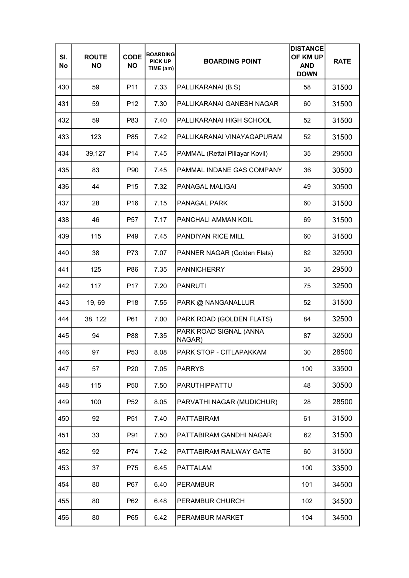| SI.<br>No | <b>ROUTE</b><br><b>NO</b> | <b>CODE</b><br><b>NO</b> | <b>BOARDING</b><br><b>PICK UP</b><br>TIME (am) | <b>BOARDING POINT</b>            | <b>DISTANCE</b><br>OF KM UP<br><b>AND</b><br><b>DOWN</b> | <b>RATE</b> |
|-----------|---------------------------|--------------------------|------------------------------------------------|----------------------------------|----------------------------------------------------------|-------------|
| 430       | 59                        | P11                      | 7.33                                           | PALLIKARANAI (B.S)               | 58                                                       | 31500       |
| 431       | 59                        | P <sub>12</sub>          | 7.30                                           | PALLIKARANAI GANESH NAGAR        | 60                                                       | 31500       |
| 432       | 59                        | P83                      | 7.40                                           | PALLIKARANAI HIGH SCHOOL         | 52                                                       | 31500       |
| 433       | 123                       | P85                      | 7.42                                           | PALLIKARANAI VINAYAGAPURAM       | 52                                                       | 31500       |
| 434       | 39,127                    | P <sub>14</sub>          | 7.45                                           | PAMMAL (Rettai Pillayar Kovil)   | 35                                                       | 29500       |
| 435       | 83                        | P90                      | 7.45                                           | PAMMAL INDANE GAS COMPANY        | 36                                                       | 30500       |
| 436       | 44                        | P <sub>15</sub>          | 7.32                                           | PANAGAL MALIGAI                  | 49                                                       | 30500       |
| 437       | 28                        | P <sub>16</sub>          | 7.15                                           | PANAGAL PARK                     | 60                                                       | 31500       |
| 438       | 46                        | P <sub>57</sub>          | 7.17                                           | PANCHALI AMMAN KOIL              | 69                                                       | 31500       |
| 439       | 115                       | P49                      | 7.45                                           | PANDIYAN RICE MILL               | 60                                                       | 31500       |
| 440       | 38                        | P73                      | 7.07                                           | PANNER NAGAR (Golden Flats)      | 82                                                       | 32500       |
| 441       | 125                       | P86                      | 7.35                                           | <b>PANNICHERRY</b>               | 35                                                       | 29500       |
| 442       | 117                       | P <sub>17</sub>          | 7.20                                           | <b>PANRUTI</b>                   | 75                                                       | 32500       |
| 443       | 19,69                     | P <sub>18</sub>          | 7.55                                           | PARK @ NANGANALLUR               | 52                                                       | 31500       |
| 444       | 38, 122                   | P61                      | 7.00                                           | PARK ROAD (GOLDEN FLATS)         | 84                                                       | 32500       |
| 445       | 94                        | P88                      | 7.35                                           | PARK ROAD SIGNAL (ANNA<br>NAGAR) | 87                                                       | 32500       |
| 446       | 97                        | P <sub>53</sub>          | 8.08                                           | PARK STOP - CITLAPAKKAM          | 30                                                       | 28500       |
| 447       | 57                        | P <sub>20</sub>          | 7.05                                           | <b>PARRYS</b>                    | 100                                                      | 33500       |
| 448       | 115                       | P <sub>50</sub>          | 7.50                                           | <b>PARUTHIPPATTU</b>             | 48                                                       | 30500       |
| 449       | 100                       | P <sub>52</sub>          | 8.05                                           | PARVATHI NAGAR (MUDICHUR)        | 28                                                       | 28500       |
| 450       | 92                        | P <sub>51</sub>          | 7.40                                           | <b>PATTABIRAM</b>                | 61                                                       | 31500       |
| 451       | 33                        | P91                      | 7.50                                           | PATTABIRAM GANDHI NAGAR          | 62                                                       | 31500       |
| 452       | 92                        | P74                      | 7.42                                           | PATTABIRAM RAILWAY GATE          | 60                                                       | 31500       |
| 453       | 37                        | P75                      | 6.45                                           | <b>PATTALAM</b>                  | 100                                                      | 33500       |
| 454       | 80                        | P67                      | 6.40                                           | <b>PERAMBUR</b>                  | 101                                                      | 34500       |
| 455       | 80                        | P62                      | 6.48                                           | PERAMBUR CHURCH                  | 102                                                      | 34500       |
| 456       | 80                        | P65                      | 6.42                                           | PERAMBUR MARKET                  | 104                                                      | 34500       |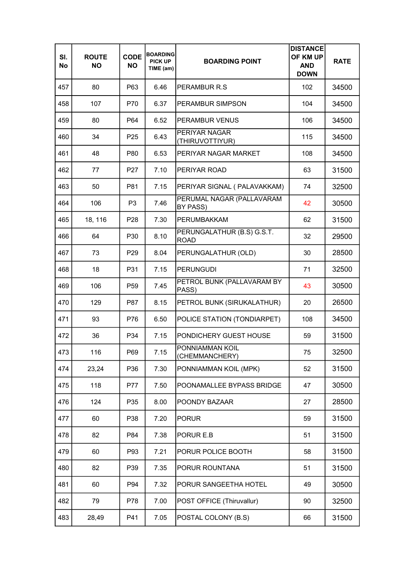| SI.<br>No | <b>ROUTE</b><br><b>NO</b> | <b>CODE</b><br><b>NO</b> | <b>BOARDING</b><br><b>PICK UP</b><br>TIME (am) | <b>BOARDING POINT</b>                     | <b>DISTANCE</b><br>OF KM UP<br><b>AND</b><br><b>DOWN</b> | <b>RATE</b> |
|-----------|---------------------------|--------------------------|------------------------------------------------|-------------------------------------------|----------------------------------------------------------|-------------|
| 457       | 80                        | P63                      | 6.46                                           | PERAMBUR R.S.                             | 102                                                      | 34500       |
| 458       | 107                       | P70                      | 6.37                                           | PERAMBUR SIMPSON                          | 104                                                      | 34500       |
| 459       | 80                        | P64                      | 6.52                                           | <b>PERAMBUR VENUS</b>                     | 106                                                      | 34500       |
| 460       | 34                        | P <sub>25</sub>          | 6.43                                           | PERIYAR NAGAR<br>(THIRUVOTTIYUR)          | 115                                                      | 34500       |
| 461       | 48                        | P80                      | 6.53                                           | PERIYAR NAGAR MARKET                      | 108                                                      | 34500       |
| 462       | 77                        | P <sub>27</sub>          | 7.10                                           | PERIYAR ROAD                              | 63                                                       | 31500       |
| 463       | 50                        | P81                      | 7.15                                           | PERIYAR SIGNAL ( PALAVAKKAM)              | 74                                                       | 32500       |
| 464       | 106                       | P <sub>3</sub>           | 7.46                                           | PERUMAL NAGAR (PALLAVARAM<br>BY PASS)     | 42                                                       | 30500       |
| 465       | 18, 116                   | P <sub>28</sub>          | 7.30                                           | PERUMBAKKAM                               | 62                                                       | 31500       |
| 466       | 64                        | P30                      | 8.10                                           | PERUNGALATHUR (B.S) G.S.T.<br><b>ROAD</b> | 32                                                       | 29500       |
| 467       | 73                        | P <sub>29</sub>          | 8.04                                           | PERUNGALATHUR (OLD)                       | 30                                                       | 28500       |
| 468       | 18                        | P31                      | 7.15                                           | <b>PERUNGUDI</b>                          | 71                                                       | 32500       |
| 469       | 106                       | P <sub>59</sub>          | 7.45                                           | PETROL BUNK (PALLAVARAM BY<br>PASS)       | 43                                                       | 30500       |
| 470       | 129                       | P87                      | 8.15                                           | PETROL BUNK (SIRUKALATHUR)                | 20                                                       | 26500       |
| 471       | 93                        | P76                      | 6.50                                           | POLICE STATION (TONDIARPET)               | 108                                                      | 34500       |
| 472       | 36                        | P34                      | 7.15                                           | PONDICHERY GUEST HOUSE                    | 59                                                       | 31500       |
| 473       | 116                       | P69                      | 7.15                                           | PONNIAMMAN KOIL<br>(CHEMMANCHERY)         | 75                                                       | 32500       |
| 474       | 23,24                     | P36                      | 7.30                                           | PONNIAMMAN KOIL (MPK)                     | 52                                                       | 31500       |
| 475       | 118                       | <b>P77</b>               | 7.50                                           | POONAMALLEE BYPASS BRIDGE                 | 47                                                       | 30500       |
| 476       | 124                       | P35                      | 8.00                                           | POONDY BAZAAR                             | 27                                                       | 28500       |
| 477       | 60                        | P38                      | 7.20                                           | <b>PORUR</b>                              | 59                                                       | 31500       |
| 478       | 82                        | P84                      | 7.38                                           | PORUR E.B                                 | 51                                                       | 31500       |
| 479       | 60                        | P93                      | 7.21                                           | PORUR POLICE BOOTH                        | 58                                                       | 31500       |
| 480       | 82                        | P39                      | 7.35                                           | PORUR ROUNTANA                            | 51                                                       | 31500       |
| 481       | 60                        | P94                      | 7.32                                           | PORUR SANGEETHA HOTEL                     | 49                                                       | 30500       |
| 482       | 79                        | P78                      | 7.00                                           | POST OFFICE (Thiruvallur)                 | 90                                                       | 32500       |
| 483       | 28,49                     | P41                      | 7.05                                           | POSTAL COLONY (B.S)                       | 66                                                       | 31500       |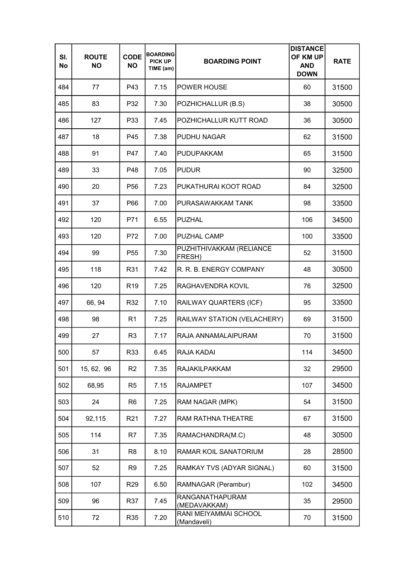| SI.<br>No | <b>ROUTE</b><br><b>NO</b> | <b>CODE</b><br><b>NO</b> | <b>BOARDING</b><br><b>PICK UP</b><br>TIME (am) | <b>BOARDING POINT</b>                | <b>DISTANCE</b><br>OF KM UP<br><b>AND</b><br><b>DOWN</b> | <b>RATE</b> |
|-----------|---------------------------|--------------------------|------------------------------------------------|--------------------------------------|----------------------------------------------------------|-------------|
| 484       | 77                        | P43                      | 7.15                                           | <b>POWER HOUSE</b>                   | 60                                                       | 31500       |
| 485       | 83                        | P32                      | 7.30                                           | POZHICHALLUR (B.S)                   | 38                                                       | 30500       |
| 486       | 127                       | P33                      | 7.45                                           | POZHICHALLUR KUTT ROAD               | 36                                                       | 30500       |
| 487       | 18                        | P45                      | 7.38                                           | <b>PUDHU NAGAR</b>                   | 62                                                       | 31500       |
| 488       | 91                        | P47                      | 7.40                                           | <b>PUDUPAKKAM</b>                    | 65                                                       | 31500       |
| 489       | 33                        | P48                      | 7.05                                           | <b>PUDUR</b>                         | 90                                                       | 32500       |
| 490       | 20                        | P <sub>56</sub>          | 7.23                                           | PUKATHURAI KOOT ROAD                 | 84                                                       | 32500       |
| 491       | 37                        | P66                      | 7.00                                           | PURASAWAKKAM TANK                    | 98                                                       | 33500       |
| 492       | 120                       | P71                      | 6.55                                           | <b>PUZHAL</b>                        | 106                                                      | 34500       |
| 493       | 120                       | P72                      | 7.00                                           | <b>PUZHAL CAMP</b>                   | 100                                                      | 33500       |
| 494       | 99                        | P <sub>55</sub>          | 7.30                                           | PUZHITHIVAKKAM (RELIANCE<br>FRESH)   | 52                                                       | 31500       |
| 495       | 118                       | R31                      | 7.42                                           | R. R. B. ENERGY COMPANY              | 48                                                       | 30500       |
| 496       | 120                       | R <sub>19</sub>          | 7.25                                           | RAGHAVENDRA KOVIL                    | 76                                                       | 32500       |
| 497       | 66, 94                    | R32                      | 7.10                                           | RAILWAY QUARTERS (ICF)               | 95                                                       | 33500       |
| 498       | 98                        | R <sub>1</sub>           | 7.25                                           | RAILWAY STATION (VELACHERY)          | 69                                                       | 31500       |
| 499       | 27                        | R <sub>3</sub>           | 7.17                                           | RAJA ANNAMALAIPURAM                  | 70                                                       | 31500       |
| 500       | 57                        | R33                      | 6.45                                           | RAJA KADAI                           | 114                                                      | 34500       |
| 501       | 15, 62, 96                | R <sub>2</sub>           | 7.35                                           | <b>RAJAKILPAKKAM</b>                 | 32                                                       | 29500       |
| 502       | 68,95                     | R <sub>5</sub>           | 7.15                                           | <b>RAJAMPET</b>                      | 107                                                      | 34500       |
| 503       | 24                        | R <sub>6</sub>           | 7.25                                           | RAM NAGAR (MPK)                      | 54                                                       | 31500       |
| 504       | 92,115                    | R <sub>21</sub>          | 7.27                                           | RAM RATHNA THEATRE                   | 67                                                       | 31500       |
| 505       | 114                       | R7                       | 7.35                                           | RAMACHANDRA(M.C)                     | 48                                                       | 30500       |
| 506       | 31                        | R8                       | 8.10                                           | RAMAR KOIL SANATORIUM                | 28                                                       | 28500       |
| 507       | 52                        | R9                       | 7.25                                           | RAMKAY TVS (ADYAR SIGNAL)            | 60                                                       | 31500       |
| 508       | 107                       | R <sub>29</sub>          | 6.50                                           | RAMNAGAR (Perambur)                  | 102                                                      | 34500       |
| 509       | 96                        | R37                      | 7.45                                           | RANGANATHAPURAM<br>(MEDAVAKKAM)      | 35                                                       | 29500       |
| 510       | 72                        | R35                      | 7.20                                           | RANI MEIYAMMAI SCHOOL<br>(Mandaveli) | 70                                                       | 31500       |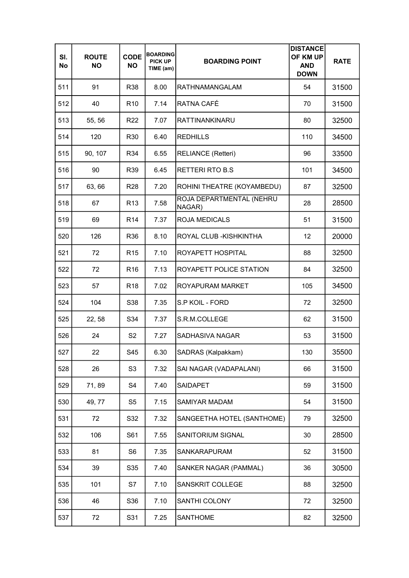| SI.<br>No | <b>ROUTE</b><br><b>NO</b> | <b>CODE</b><br><b>NO</b> | <b>BOARDING</b><br><b>PICK UP</b><br>TIME (am) | <b>BOARDING POINT</b>              | <b>DISTANCE</b><br>OF KM UP<br><b>AND</b><br><b>DOWN</b> | <b>RATE</b> |
|-----------|---------------------------|--------------------------|------------------------------------------------|------------------------------------|----------------------------------------------------------|-------------|
| 511       | 91                        | R38                      | 8.00                                           | <b>RATHNAMANGALAM</b>              | 54                                                       | 31500       |
| 512       | 40                        | R <sub>10</sub>          | 7.14                                           | RATNA CAFÉ                         | 70                                                       | 31500       |
| 513       | 55, 56                    | R <sub>22</sub>          | 7.07                                           | <b>RATTINANKINARU</b>              | 80                                                       | 32500       |
| 514       | 120                       | R <sub>30</sub>          | 6.40                                           | <b>REDHILLS</b>                    | 110                                                      | 34500       |
| 515       | 90, 107                   | R34                      | 6.55                                           | <b>RELIANCE (Retteri)</b>          | 96                                                       | 33500       |
| 516       | 90                        | R39                      | 6.45                                           | <b>RETTERI RTO B.S</b>             | 101                                                      | 34500       |
| 517       | 63, 66                    | R <sub>28</sub>          | 7.20                                           | ROHINI THEATRE (KOYAMBEDU)         | 87                                                       | 32500       |
| 518       | 67                        | R <sub>13</sub>          | 7.58                                           | ROJA DEPARTMENTAL (NEHRU<br>NAGAR) | 28                                                       | 28500       |
| 519       | 69                        | R <sub>14</sub>          | 7.37                                           | <b>ROJA MEDICALS</b>               | 51                                                       | 31500       |
| 520       | 126                       | R36                      | 8.10                                           | ROYAL CLUB - KISHKINTHA            | 12                                                       | 20000       |
| 521       | 72                        | R <sub>15</sub>          | 7.10                                           | ROYAPETT HOSPITAL                  | 88                                                       | 32500       |
| 522       | 72                        | R <sub>16</sub>          | 7.13                                           | ROYAPETT POLICE STATION            | 84                                                       | 32500       |
| 523       | 57                        | R <sub>18</sub>          | 7.02                                           | ROYAPURAM MARKET                   | 105                                                      | 34500       |
| 524       | 104                       | S38                      | 7.35                                           | S.P KOIL - FORD                    | 72                                                       | 32500       |
| 525       | 22, 58                    | S34                      | 7.37                                           | S.R.M.COLLEGE                      | 62                                                       | 31500       |
| 526       | 24                        | S <sub>2</sub>           | 7.27                                           | SADHASIVA NAGAR                    | 53                                                       | 31500       |
| 527       | 22                        | S45                      | 6.30                                           | SADRAS (Kalpakkam)                 | 130                                                      | 35500       |
| 528       | 26                        | S <sub>3</sub>           | 7.32                                           | SAI NAGAR (VADAPALANI)             | 66                                                       | 31500       |
| 529       | 71,89                     | S4                       | 7.40                                           | <b>SAIDAPET</b>                    | 59                                                       | 31500       |
| 530       | 49, 77                    | S5                       | 7.15                                           | SAMIYAR MADAM                      | 54                                                       | 31500       |
| 531       | 72                        | S32                      | 7.32                                           | SANGEETHA HOTEL (SANTHOME)         | 79                                                       | 32500       |
| 532       | 106                       | S61                      | 7.55                                           | SANITORIUM SIGNAL                  | 30                                                       | 28500       |
| 533       | 81                        | S <sub>6</sub>           | 7.35                                           | SANKARAPURAM                       | 52                                                       | 31500       |
| 534       | 39                        | S35                      | 7.40                                           | SANKER NAGAR (PAMMAL)              | 36                                                       | 30500       |
| 535       | 101                       | S7                       | 7.10                                           | SANSKRIT COLLEGE                   | 88                                                       | 32500       |
| 536       | 46                        | S36                      | 7.10                                           | SANTHI COLONY                      | 72                                                       | 32500       |
| 537       | 72                        | S31                      | 7.25                                           | <b>SANTHOME</b>                    | 82                                                       | 32500       |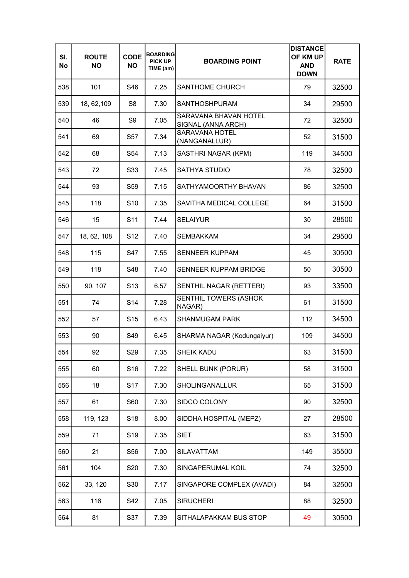| SI.<br>No | <b>ROUTE</b><br><b>NO</b> | <b>CODE</b><br><b>NO</b> | <b>BOARDING</b><br><b>PICK UP</b><br>TIME (am) | <b>BOARDING POINT</b>                       | <b>DISTANCE</b><br>OF KM UP<br><b>AND</b><br><b>DOWN</b> | <b>RATE</b> |
|-----------|---------------------------|--------------------------|------------------------------------------------|---------------------------------------------|----------------------------------------------------------|-------------|
| 538       | 101                       | S46                      | 7.25                                           | <b>SANTHOME CHURCH</b>                      | 79                                                       | 32500       |
| 539       | 18, 62, 109               | S <sub>8</sub>           | 7.30                                           | <b>SANTHOSHPURAM</b>                        | 34                                                       | 29500       |
| 540       | 46                        | S <sub>9</sub>           | 7.05                                           | SARAVANA BHAVAN HOTEL<br>SIGNAL (ANNA ARCH) | 72                                                       | 32500       |
| 541       | 69                        | S57                      | 7.34                                           | <b>SARAVANA HOTEL</b><br>(NANGANALLUR)      | 52                                                       | 31500       |
| 542       | 68                        | S54                      | 7.13                                           | SASTHRI NAGAR (KPM)                         | 119                                                      | 34500       |
| 543       | 72                        | S33                      | 7.45                                           | <b>SATHYA STUDIO</b>                        | 78                                                       | 32500       |
| 544       | 93                        | S59                      | 7.15                                           | SATHYAMOORTHY BHAVAN                        | 86                                                       | 32500       |
| 545       | 118                       | S <sub>10</sub>          | 7.35                                           | SAVITHA MEDICAL COLLEGE                     | 64                                                       | 31500       |
| 546       | 15                        | S <sub>11</sub>          | 7.44                                           | <b>SELAIYUR</b>                             | 30                                                       | 28500       |
| 547       | 18, 62, 108               | S <sub>12</sub>          | 7.40                                           | SEMBAKKAM                                   | 34                                                       | 29500       |
| 548       | 115                       | S47                      | 7.55                                           | <b>SENNEER KUPPAM</b>                       | 45                                                       | 30500       |
| 549       | 118                       | S48                      | 7.40                                           | <b>SENNEER KUPPAM BRIDGE</b>                | 50                                                       | 30500       |
| 550       | 90, 107                   | S <sub>13</sub>          | 6.57                                           | SENTHIL NAGAR (RETTERI)                     | 93                                                       | 33500       |
| 551       | 74                        | S <sub>14</sub>          | 7.28                                           | SENTHIL TOWERS (ASHOK<br>NAGAR)             | 61                                                       | 31500       |
| 552       | 57                        | S <sub>15</sub>          | 6.43                                           | <b>SHANMUGAM PARK</b>                       | 112                                                      | 34500       |
| 553       | 90                        | S49                      | 6.45                                           | SHARMA NAGAR (Kodungaiyur)                  | 109                                                      | 34500       |
| 554       | 92                        | S <sub>29</sub>          | 7.35                                           | SHEIK KADU                                  | 63                                                       | 31500       |
| 555       | 60                        | S16                      | 7.22                                           | SHELL BUNK (PORUR)                          | 58                                                       | 31500       |
| 556       | 18                        | S <sub>17</sub>          | 7.30                                           | SHOLINGANALLUR                              | 65                                                       | 31500       |
| 557       | 61                        | S60                      | 7.30                                           | SIDCO COLONY                                | 90                                                       | 32500       |
| 558       | 119, 123                  | S <sub>18</sub>          | 8.00                                           | SIDDHA HOSPITAL (MEPZ)                      | 27                                                       | 28500       |
| 559       | 71                        | S <sub>19</sub>          | 7.35                                           | <b>SIET</b>                                 | 63                                                       | 31500       |
| 560       | 21                        | S56                      | 7.00                                           | SILAVATTAM                                  | 149                                                      | 35500       |
| 561       | 104                       | S <sub>20</sub>          | 7.30                                           | SINGAPERUMAL KOIL                           | 74                                                       | 32500       |
| 562       | 33, 120                   | S30                      | 7.17                                           | SINGAPORE COMPLEX (AVADI)                   | 84                                                       | 32500       |
| 563       | 116                       | S42                      | 7.05                                           | <b>SIRUCHERI</b>                            | 88                                                       | 32500       |
| 564       | 81                        | S37                      | 7.39                                           | SITHALAPAKKAM BUS STOP                      | 49                                                       | 30500       |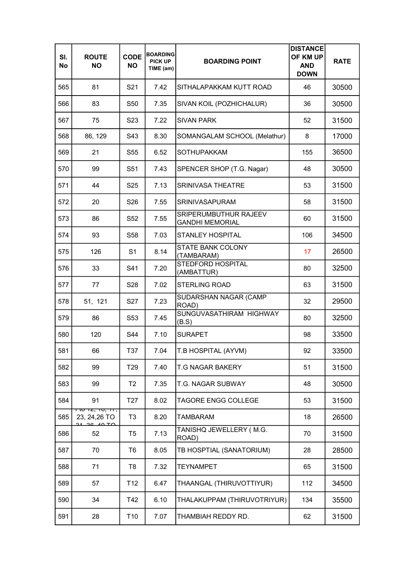| SI.<br>No | <b>ROUTE</b><br><b>NO</b>                                    | <b>CODE</b><br><b>NO</b> | <b>BOARDING</b><br><b>PICK UP</b><br>TIME (am) | <b>BOARDING POINT</b>                           | <b>DISTANCE</b><br>OF KM UP<br><b>AND</b><br><b>DOWN</b> | <b>RATE</b> |
|-----------|--------------------------------------------------------------|--------------------------|------------------------------------------------|-------------------------------------------------|----------------------------------------------------------|-------------|
| 565       | 81                                                           | S <sub>21</sub>          | 7.42                                           | SITHALAPAKKAM KUTT ROAD                         | 46                                                       | 30500       |
| 566       | 83                                                           | S50                      | 7.35                                           | SIVAN KOIL (POZHICHALUR)                        | 36                                                       | 30500       |
| 567       | 75                                                           | S <sub>23</sub>          | 7.22                                           | <b>SIVAN PARK</b>                               | 52                                                       | 31500       |
| 568       | 86, 129                                                      | S43                      | 8.30                                           | SOMANGALAM SCHOOL (Melathur)                    | 8                                                        | 17000       |
| 569       | 21                                                           | S55                      | 6.52                                           | <b>SOTHUPAKKAM</b>                              | 155                                                      | 36500       |
| 570       | 99                                                           | S <sub>51</sub>          | 7.43                                           | SPENCER SHOP (T.G. Nagar)                       | 48                                                       | 30500       |
| 571       | 44                                                           | S <sub>25</sub>          | 7.13                                           | <b>SRINIVASA THEATRE</b>                        | 53                                                       | 31500       |
| 572       | 20                                                           | S <sub>26</sub>          | 7.55                                           | <b>SRINIVASAPURAM</b>                           | 58                                                       | 31500       |
| 573       | 86                                                           | S52                      | 7.55                                           | SRIPERUMBUTHUR RAJEEV<br><b>GANDHI MEMORIAL</b> | 60                                                       | 31500       |
| 574       | 93                                                           | S58                      | 7.03                                           | <b>STANLEY HOSPITAL</b>                         | 106                                                      | 34500       |
| 575       | 126                                                          | S <sub>1</sub>           | 8.14                                           | <b>STATE BANK COLONY</b><br>(TAMBARAM)          | 17                                                       | 26500       |
| 576       | 33                                                           | S41                      | 7.20                                           | <b>STEDFORD HOSPITAL</b><br>(AMBATTUR)          | 80                                                       | 32500       |
| 577       | 77                                                           | S28                      | 7.02                                           | <b>STERLING ROAD</b>                            | 63                                                       | 31500       |
| 578       | 51, 121                                                      | S27                      | 7.23                                           | SUDARSHAN NAGAR (CAMP<br>ROAD)                  | 32                                                       | 29500       |
| 579       | 86                                                           | S53                      | 7.45                                           | SUNGUVASATHIRAM HIGHWAY<br>(B.S)                | 80                                                       | 32500       |
| 580       | 120                                                          | S44                      | 7.10                                           | <b>SURAPET</b>                                  | 98                                                       | 33500       |
| 581       | 66                                                           | T37                      | 7.04                                           | T.B HOSPITAL (AYVM)                             | 92                                                       | 33500       |
| 582       | 99                                                           | T <sub>29</sub>          | 7.40                                           | <b>T.G NAGAR BAKERY</b>                         | 51                                                       | 31500       |
| 583       | 99                                                           | T <sub>2</sub>           | 7.35                                           | T.G. NAGAR SUBWAY                               | 48                                                       | 30500       |
| 584       | 91                                                           | T <sub>27</sub>          | 8.02                                           | <b>TAGORE ENGG COLLEGE</b>                      | 53                                                       | 31500       |
| 585       | <del>ו וט זב, זט, זו ,</del><br>23, 24, 26 TO<br>21 26 10 TO | T <sub>3</sub>           | 8.20                                           | <b>TAMBARAM</b>                                 | 18                                                       | 26500       |
| 586       | 52                                                           | T5                       | 7.13                                           | TANISHQ JEWELLERY (M.G.<br>ROAD)                | 70                                                       | 31500       |
| 587       | 70                                                           | T6                       | 8.05                                           | TB HOSPTIAL (SANATORIUM)                        | 28                                                       | 28500       |
| 588       | 71                                                           | T8                       | 7.32                                           | <b>TEYNAMPET</b>                                | 65                                                       | 31500       |
| 589       | 57                                                           | T <sub>12</sub>          | 6.47                                           | THAANGAL (THIRUVOTTIYUR)                        | 112                                                      | 34500       |
| 590       | 34                                                           | T42                      | 6.10                                           | THALAKUPPAM (THIRUVOTRIYUR)                     | 134                                                      | 35500       |
| 591       | 28                                                           | T <sub>10</sub>          | 7.07                                           | THAMBIAH REDDY RD.                              | 62                                                       | 31500       |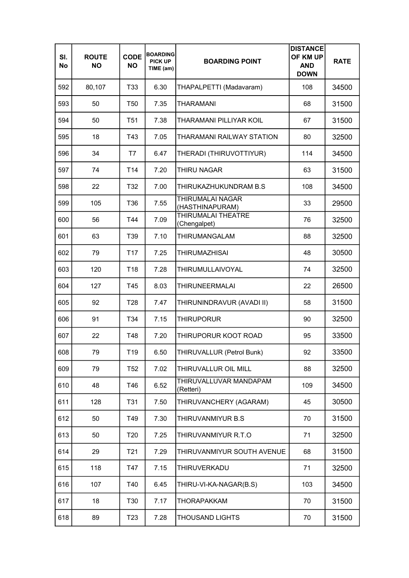| SI.<br>No | <b>ROUTE</b><br><b>NO</b> | <b>CODE</b><br><b>NO</b> | <b>BOARDING</b><br><b>PICK UP</b><br>TIME (am) | <b>BOARDING POINT</b>               | <b>DISTANCE</b><br>OF KM UP<br><b>AND</b><br><b>DOWN</b> | <b>RATE</b> |
|-----------|---------------------------|--------------------------|------------------------------------------------|-------------------------------------|----------------------------------------------------------|-------------|
| 592       | 80,107                    | T33                      | 6.30                                           | THAPALPETTI (Madavaram)             | 108                                                      | 34500       |
| 593       | 50                        | T <sub>50</sub>          | 7.35                                           | <b>THARAMANI</b>                    | 68                                                       | 31500       |
| 594       | 50                        | T <sub>51</sub>          | 7.38                                           | <b>THARAMANI PILLIYAR KOIL</b>      | 67                                                       | 31500       |
| 595       | 18                        | T43                      | 7.05                                           | THARAMANI RAILWAY STATION           | 80                                                       | 32500       |
| 596       | 34                        | T7                       | 6.47                                           | THERADI (THIRUVOTTIYUR)             | 114                                                      | 34500       |
| 597       | 74                        | T <sub>14</sub>          | 7.20                                           | <b>THIRU NAGAR</b>                  | 63                                                       | 31500       |
| 598       | 22                        | T32                      | 7.00                                           | THIRUKAZHUKUNDRAM B.S               | 108                                                      | 34500       |
| 599       | 105                       | T36                      | 7.55                                           | THIRUMALAI NAGAR<br>(HASTHINAPURAM) | 33                                                       | 29500       |
| 600       | 56                        | T44                      | 7.09                                           | THIRUMALAI THEATRE<br>(Chengalpet)  | 76                                                       | 32500       |
| 601       | 63                        | T39                      | 7.10                                           | THIRUMANGALAM                       | 88                                                       | 32500       |
| 602       | 79                        | T <sub>17</sub>          | 7.25                                           | <b>THIRUMAZHISAI</b>                | 48                                                       | 30500       |
| 603       | 120                       | T <sub>18</sub>          | 7.28                                           | THIRUMULLAIVOYAL                    | 74                                                       | 32500       |
| 604       | 127                       | T45                      | 8.03                                           | <b>THIRUNEERMALAI</b>               | 22                                                       | 26500       |
| 605       | 92                        | T <sub>28</sub>          | 7.47                                           | THIRUNINDRAVUR (AVADI II)           | 58                                                       | 31500       |
| 606       | 91                        | T34                      | 7.15                                           | <b>THIRUPORUR</b>                   | 90                                                       | 32500       |
| 607       | 22                        | T48                      | 7.20                                           | THIRUPORUR KOOT ROAD                | 95                                                       | 33500       |
| 608       | 79                        | T19                      | 6.50                                           | THIRUVALLUR (Petrol Bunk)           | 92                                                       | 33500       |
| 609       | 79                        | T <sub>52</sub>          | 7.02                                           | THIRUVALLUR OIL MILL                | 88                                                       | 32500       |
| 610       | 48                        | T46                      | 6.52                                           | THIRUVALLUVAR MANDAPAM<br>(Retteri) | 109                                                      | 34500       |
| 611       | 128                       | T31                      | 7.50                                           | THIRUVANCHERY (AGARAM)              | 45                                                       | 30500       |
| 612       | 50                        | T49                      | 7.30                                           | THIRUVANMIYUR B.S                   | 70                                                       | 31500       |
| 613       | 50                        | T <sub>20</sub>          | 7.25                                           | THIRUVANMIYUR R.T.O                 | 71                                                       | 32500       |
| 614       | 29                        | T <sub>21</sub>          | 7.29                                           | THIRUVANMIYUR SOUTH AVENUE          | 68                                                       | 31500       |
| 615       | 118                       | T47                      | 7.15                                           | THIRUVERKADU                        | 71                                                       | 32500       |
| 616       | 107                       | T40                      | 6.45                                           | THIRU-VI-KA-NAGAR(B.S)              | 103                                                      | 34500       |
| 617       | 18                        | T30                      | 7.17                                           | THORAPAKKAM                         | 70                                                       | 31500       |
| 618       | 89                        | T <sub>23</sub>          | 7.28                                           | <b>THOUSAND LIGHTS</b>              | 70                                                       | 31500       |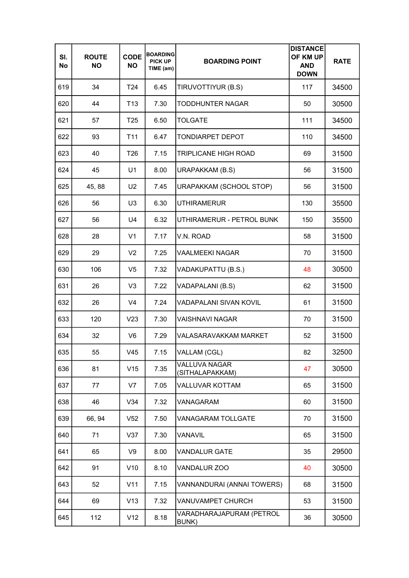| SI.<br>No | <b>ROUTE</b><br><b>NO</b> | <b>CODE</b><br><b>NO</b> | <b>BOARDING</b><br><b>PICK UP</b><br>TIME (am) | <b>BOARDING POINT</b>                   | <b>DISTANCE</b><br>OF KM UP<br><b>AND</b><br><b>DOWN</b> | <b>RATE</b> |
|-----------|---------------------------|--------------------------|------------------------------------------------|-----------------------------------------|----------------------------------------------------------|-------------|
| 619       | 34                        | T24                      | 6.45                                           | TIRUVOTTIYUR (B.S)                      | 117                                                      | 34500       |
| 620       | 44                        | T <sub>13</sub>          | 7.30                                           | TODDHUNTER NAGAR                        | 50                                                       | 30500       |
| 621       | 57                        | T <sub>25</sub>          | 6.50                                           | <b>TOLGATE</b>                          | 111                                                      | 34500       |
| 622       | 93                        | T <sub>11</sub>          | 6.47                                           | <b>TONDIARPET DEPOT</b>                 | 110                                                      | 34500       |
| 623       | 40                        | T <sub>26</sub>          | 7.15                                           | <b>TRIPLICANE HIGH ROAD</b>             | 69                                                       | 31500       |
| 624       | 45                        | U1                       | 8.00                                           | URAPAKKAM (B.S)                         | 56                                                       | 31500       |
| 625       | 45, 88                    | U <sub>2</sub>           | 7.45                                           | URAPAKKAM (SCHOOL STOP)                 | 56                                                       | 31500       |
| 626       | 56                        | U <sub>3</sub>           | 6.30                                           | <b>UTHIRAMERUR</b>                      | 130                                                      | 35500       |
| 627       | 56                        | U4                       | 6.32                                           | UTHIRAMERUR - PETROL BUNK               | 150                                                      | 35500       |
| 628       | 28                        | V <sub>1</sub>           | 7.17                                           | V.N. ROAD                               | 58                                                       | 31500       |
| 629       | 29                        | V <sub>2</sub>           | 7.25                                           | <b>VAALMEEKI NAGAR</b>                  | 70                                                       | 31500       |
| 630       | 106                       | V <sub>5</sub>           | 7.32                                           | VADAKUPATTU (B.S.)                      | 48                                                       | 30500       |
| 631       | 26                        | V <sub>3</sub>           | 7.22                                           | VADAPALANI (B.S)                        | 62                                                       | 31500       |
| 632       | 26                        | V <sub>4</sub>           | 7.24                                           | <b>VADAPALANI SIVAN KOVIL</b>           | 61                                                       | 31500       |
| 633       | 120                       | V <sub>23</sub>          | 7.30                                           | <b>VAISHNAVI NAGAR</b>                  | 70                                                       | 31500       |
| 634       | 32                        | V <sub>6</sub>           | 7.29                                           | VALASARAVAKKAM MARKET                   | 52                                                       | 31500       |
| 635       | 55                        | V45                      | 7.15                                           | VALLAM (CGL)                            | 82                                                       | 32500       |
| 636       | 81                        | V15                      | 7.35                                           | <b>VALLUVA NAGAR</b><br>(SITHALAPAKKAM) | 47                                                       | 30500       |
| 637       | 77                        | V7                       | 7.05                                           | <b>VALLUVAR KOTTAM</b>                  | 65                                                       | 31500       |
| 638       | 46                        | V34                      | 7.32                                           | VANAGARAM                               | 60                                                       | 31500       |
| 639       | 66, 94                    | V <sub>52</sub>          | 7.50                                           | <b>VANAGARAM TOLLGATE</b>               | 70                                                       | 31500       |
| 640       | 71                        | V37                      | 7.30                                           | <b>VANAVIL</b>                          | 65                                                       | 31500       |
| 641       | 65                        | V9                       | 8.00                                           | <b>VANDALUR GATE</b>                    | 35                                                       | 29500       |
| 642       | 91                        | V10                      | 8.10                                           | VANDALUR ZOO                            | 40                                                       | 30500       |
| 643       | 52                        | V11                      | 7.15                                           | VANNANDURAI (ANNAI TOWERS)              | 68                                                       | 31500       |
| 644       | 69                        | V13                      | 7.32                                           | VANUVAMPET CHURCH                       | 53                                                       | 31500       |
| 645       | 112                       | V12                      | 8.18                                           | VARADHARAJAPURAM (PETROL<br>BUNK)       | 36                                                       | 30500       |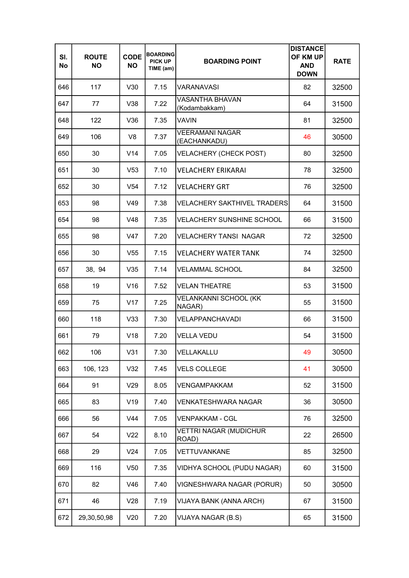| SI.<br>No | <b>ROUTE</b><br><b>NO</b> | <b>CODE</b><br><b>NO</b> | <b>BOARDING</b><br><b>PICK UP</b><br>TIME (am) | <b>BOARDING POINT</b>                   | <b>DISTANCE</b><br>OF KM UP<br><b>AND</b><br><b>DOWN</b> | <b>RATE</b> |
|-----------|---------------------------|--------------------------|------------------------------------------------|-----------------------------------------|----------------------------------------------------------|-------------|
| 646       | 117                       | V30                      | 7.15                                           | <b>VARANAVASI</b>                       | 82                                                       | 32500       |
| 647       | 77                        | V38                      | 7.22                                           | <b>VASANTHA BHAVAN</b><br>(Kodambakkam) | 64                                                       | 31500       |
| 648       | 122                       | V36                      | 7.35                                           | <b>VAVIN</b>                            | 81                                                       | 32500       |
| 649       | 106                       | V <sub>8</sub>           | 7.37                                           | <b>VEERAMANI NAGAR</b><br>(EACHANKADU)  | 46                                                       | 30500       |
| 650       | 30                        | V <sub>14</sub>          | 7.05                                           | <b>VELACHERY (CHECK POST)</b>           | 80                                                       | 32500       |
| 651       | 30                        | V <sub>53</sub>          | 7.10                                           | <b>VELACHERY ERIKARAI</b>               | 78                                                       | 32500       |
| 652       | 30                        | V <sub>54</sub>          | 7.12                                           | <b>VELACHERY GRT</b>                    | 76                                                       | 32500       |
| 653       | 98                        | V49                      | 7.38                                           | <b>VELACHERY SAKTHIVEL TRADERS</b>      | 64                                                       | 31500       |
| 654       | 98                        | V48                      | 7.35                                           | <b>VELACHERY SUNSHINE SCHOOL</b>        | 66                                                       | 31500       |
| 655       | 98                        | V47                      | 7.20                                           | <b>VELACHERY TANSI NAGAR</b>            | 72                                                       | 32500       |
| 656       | 30                        | V <sub>55</sub>          | 7.15                                           | <b>VELACHERY WATER TANK</b>             | 74                                                       | 32500       |
| 657       | 38, 94                    | V35                      | 7.14                                           | <b>VELAMMAL SCHOOL</b>                  | 84                                                       | 32500       |
| 658       | 19                        | V16                      | 7.52                                           | <b>VELAN THEATRE</b>                    | 53                                                       | 31500       |
| 659       | 75                        | V17                      | 7.25                                           | VELANKANNI SCHOOL (KK<br>NAGAR)         | 55                                                       | 31500       |
| 660       | 118                       | V33                      | 7.30                                           | <b>VELAPPANCHAVADI</b>                  | 66                                                       | 31500       |
| 661       | 79                        | V18                      | 7.20                                           | <b>VELLA VEDU</b>                       | 54                                                       | 31500       |
| 662       | 106                       | V31                      | 7.30                                           | VELLAKALLU                              | 49                                                       | 30500       |
| 663       | 106, 123                  | V32                      | 7.45                                           | <b>VELS COLLEGE</b>                     | 41                                                       | 30500       |
| 664       | 91                        | V29                      | 8.05                                           | <b>VENGAMPAKKAM</b>                     | 52                                                       | 31500       |
| 665       | 83                        | V19                      | 7.40                                           | <b>VENKATESHWARA NAGAR</b>              | 36                                                       | 30500       |
| 666       | 56                        | V44                      | 7.05                                           | <b>VENPAKKAM - CGL</b>                  | 76                                                       | 32500       |
| 667       | 54                        | V <sub>22</sub>          | 8.10                                           | <b>VETTRI NAGAR (MUDICHUR</b><br>ROAD)  | 22                                                       | 26500       |
| 668       | 29                        | V24                      | 7.05                                           | VETTUVANKANE                            | 85                                                       | 32500       |
| 669       | 116                       | V50                      | 7.35                                           | VIDHYA SCHOOL (PUDU NAGAR)              | 60                                                       | 31500       |
| 670       | 82                        | V46                      | 7.40                                           | VIGNESHWARA NAGAR (PORUR)               | 50                                                       | 30500       |
| 671       | 46                        | V28                      | 7.19                                           | VIJAYA BANK (ANNA ARCH)                 | 67                                                       | 31500       |
| 672       | 29,30,50,98               | V20                      | 7.20                                           | VIJAYA NAGAR (B.S)                      | 65                                                       | 31500       |